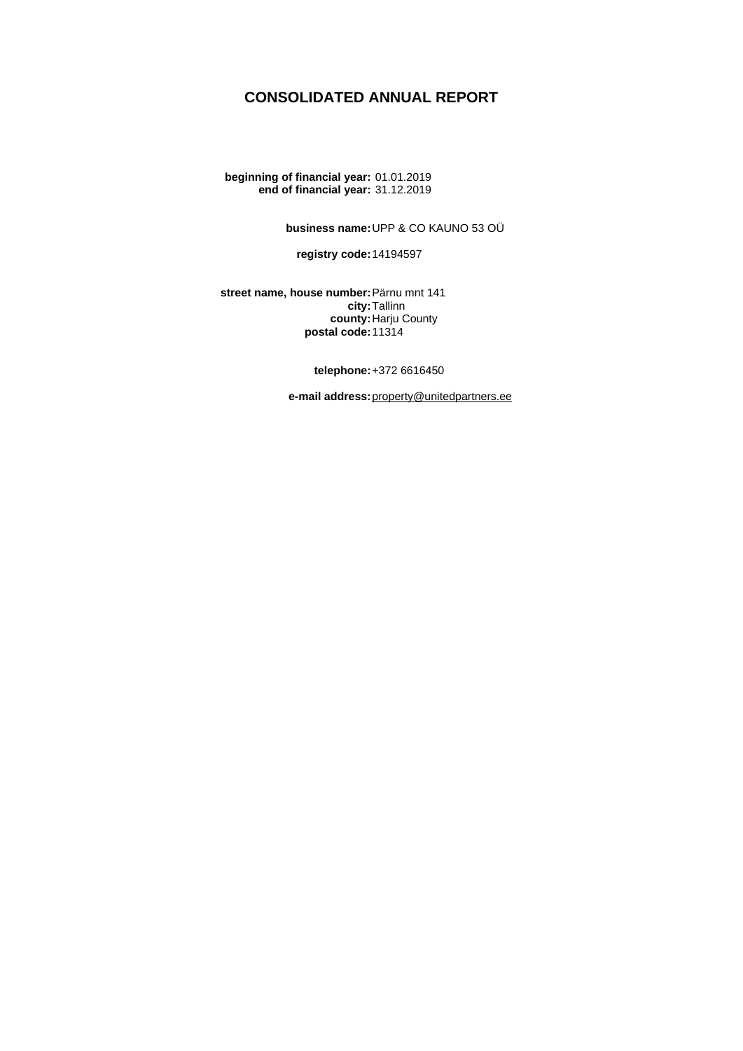## **CONSOLIDATED ANNUAL REPORT**

**beginning of financial year:** 01.01.2019 **end of financial year:** 31.12.2019

**business name:**UPP & CO KAUNO 53 OÜ

**registry code:**14194597

**street name, house number:**Pärnu mnt 141 **city:**Tallinn **county:**Harju County **postal code:**11314

**telephone:**+372 6616450

**e-mail address:**[property@unitedpartners.ee](mailto:property@unitedpartners.ee)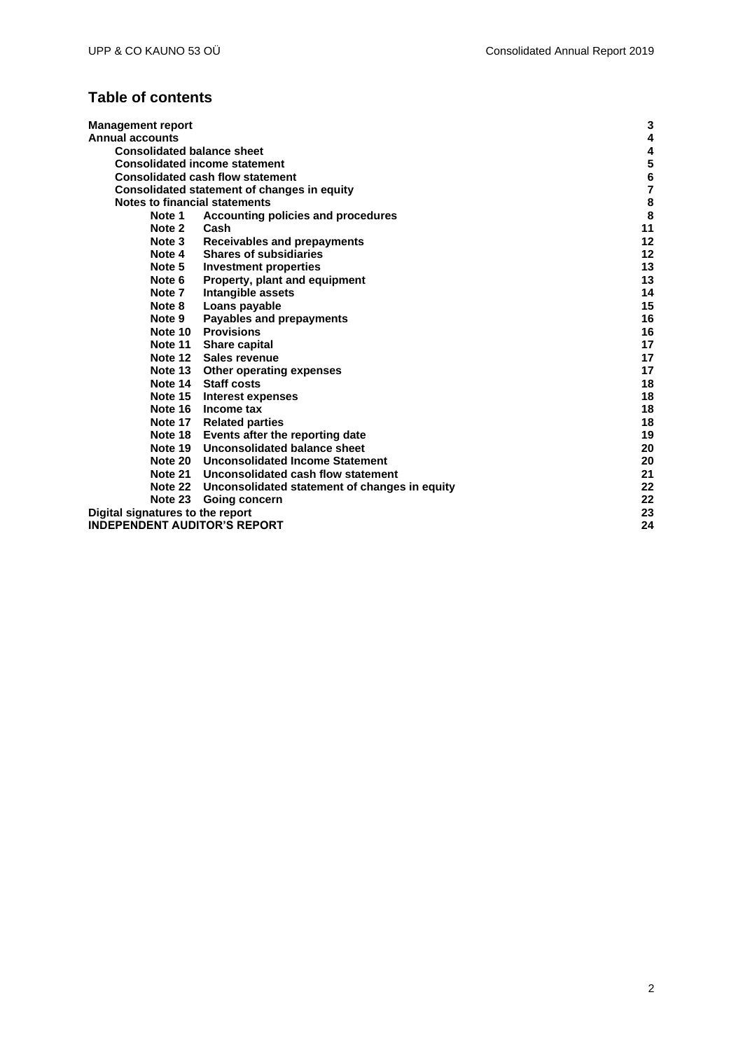# **Table of contents**

| <b>Management report</b>                              | 3                       |
|-------------------------------------------------------|-------------------------|
| Annual accounts                                       | 4                       |
| <b>Consolidated balance sheet</b>                     | 4                       |
| <b>Consolidated income statement</b>                  | 5                       |
| <b>Consolidated cash flow statement</b>               | $6\phantom{1}6$         |
| Consolidated statement of changes in equity           | $\overline{\mathbf{r}}$ |
| Notes to financial statements                         | 8                       |
| Note 1<br>Accounting policies and procedures          | 8                       |
| Note 2<br>Cash                                        | 11                      |
| <b>Receivables and prepayments</b><br>Note 3          | 12                      |
| <b>Shares of subsidiaries</b><br>Note 4               | 12                      |
| Note 5<br><b>Investment properties</b>                | 13                      |
| Note 6<br>Property, plant and equipment               | 13                      |
| Intangible assets<br>Note 7                           | 14                      |
| Loans payable<br>Note 8                               | 15                      |
| Note 9<br><b>Payables and prepayments</b>             | 16                      |
| <b>Note 10 Provisions</b>                             | 16                      |
| Note 11 Share capital                                 | 17                      |
| Note 12 Sales revenue                                 | 17                      |
| Note 13 Other operating expenses                      | 17                      |
| Note 14 Staff costs                                   | 18                      |
| Note 15 Interest expenses                             | 18                      |
| Note 16 Income tax                                    | 18                      |
| Note 17 Related parties                               | 18                      |
| Note 18 Events after the reporting date               | 19                      |
| Note 19 Unconsolidated balance sheet                  | 20                      |
| Note 20 Unconsolidated Income Statement               | 20                      |
| Note 21 Unconsolidated cash flow statement            | 21                      |
| Note 22 Unconsolidated statement of changes in equity | 22                      |
| Note 23<br><b>Going concern</b>                       | 22                      |
| Digital signatures to the report                      | 23                      |
| INDEPENDENT AUDITOR'S REPORT                          | 24                      |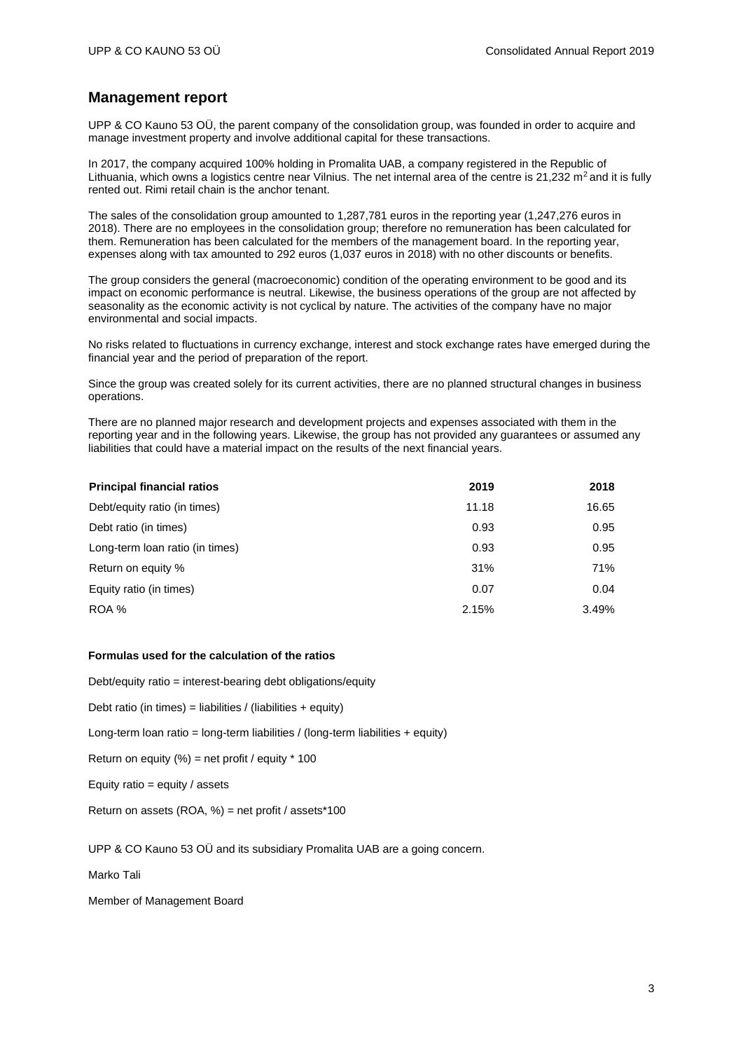### <span id="page-2-0"></span>**Management report**

UPP & CO Kauno 53 OÜ, the parent company of the consolidation group, was founded in order to acquire and manage investment property and involve additional capital for these transactions.

In 2017, the company acquired 100% holding in Promalita UAB, a company registered in the Republic of Lithuania, which owns a logistics centre near Vilnius. The net internal area of the centre is 21,232  $m^2$  and it is fully rented out. Rimi retail chain is the anchor tenant.

The sales of the consolidation group amounted to 1,287,781 euros in the reporting year (1,247,276 euros in 2018). There are no employees in the consolidation group; therefore no remuneration has been calculated for them. Remuneration has been calculated for the members of the management board. In the reporting year, expenses along with tax amounted to 292 euros (1,037 euros in 2018) with no other discounts or benefits.

The group considers the general (macroeconomic) condition of the operating environment to be good and its impact on economic performance is neutral. Likewise, the business operations of the group are not affected by seasonality as the economic activity is not cyclical by nature. The activities of the company have no major environmental and social impacts.

No risks related to fluctuations in currency exchange, interest and stock exchange rates have emerged during the financial year and the period of preparation of the report.

Since the group was created solely for its current activities, there are no planned structural changes in business operations.

There are no planned major research and development projects and expenses associated with them in the reporting year and in the following years. Likewise, the group has not provided any guarantees or assumed any liabilities that could have a material impact on the results of the next financial years.

| <b>Principal financial ratios</b> | 2019  | 2018  |
|-----------------------------------|-------|-------|
| Debt/equity ratio (in times)      | 11.18 | 16.65 |
| Debt ratio (in times)             | 0.93  | 0.95  |
| Long-term loan ratio (in times)   | 0.93  | 0.95  |
| Return on equity %                | 31%   | 71%   |
| Equity ratio (in times)           | 0.07  | 0.04  |
| ROA %                             | 2.15% | 3.49% |

### **Formulas used for the calculation of the ratios**

Debt/equity ratio = interest-bearing debt obligations/equity

Debt ratio (in times) = liabilities / (liabilities + equity)

Long-term loan ratio = long-term liabilities / (long-term liabilities + equity)

Return on equity  $%$  = net profit / equity  $*$  100

Equity ratio = equity  $\prime$  assets

Return on assets (ROA, %) = net profit / assets\*100

UPP & CO Kauno 53 OÜ and its subsidiary Promalita UAB are a going concern.

Marko Tali

Member of Management Board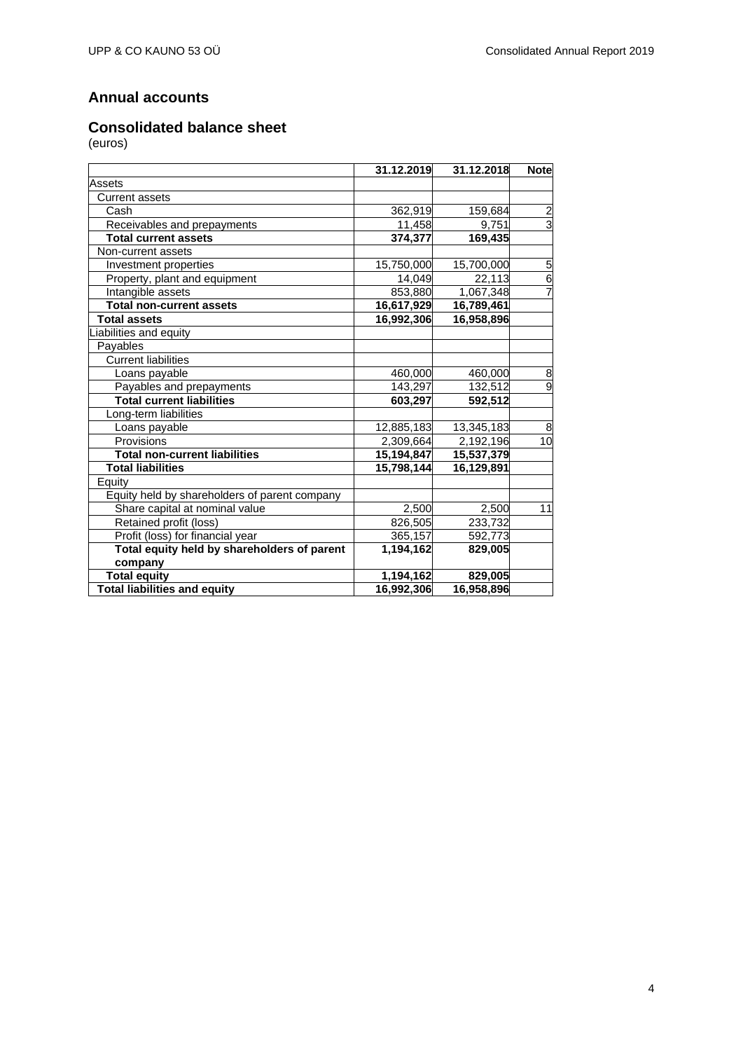# <span id="page-3-0"></span>**Annual accounts**

# <span id="page-3-1"></span>**Consolidated balance sheet**

|                                               | 31.12.2019 | 31.12.2018 | <b>Note</b>    |
|-----------------------------------------------|------------|------------|----------------|
| Assets                                        |            |            |                |
| <b>Current assets</b>                         |            |            |                |
| Cash                                          | 362,919    | 159,684    | $\overline{2}$ |
| Receivables and prepayments                   | 11,458     | 9,751      | $\overline{3}$ |
| <b>Total current assets</b>                   | 374,377    | 169,435    |                |
| Non-current assets                            |            |            |                |
| Investment properties                         | 15,750,000 | 15,700,000 | $\overline{5}$ |
| Property, plant and equipment                 | 14,049     | 22,113     | $\overline{6}$ |
| Intangible assets                             | 853,880    | 1,067,348  | $\overline{7}$ |
| <b>Total non-current assets</b>               | 16,617,929 | 16,789,461 |                |
| <b>Total assets</b>                           | 16,992,306 | 16,958,896 |                |
| iabilities and equity                         |            |            |                |
| Payables                                      |            |            |                |
| <b>Current liabilities</b>                    |            |            |                |
| Loans payable                                 | 460,000    | 460,000    | 8              |
| Payables and prepayments                      | 143,297    | 132,512    | $\overline{9}$ |
| <b>Total current liabilities</b>              | 603,297    | 592,512    |                |
| Long-term liabilities                         |            |            |                |
| Loans payable                                 | 12,885,183 | 13,345,183 | 8              |
| Provisions                                    | 2,309,664  | 2,192,196  | 10             |
| <b>Total non-current liabilities</b>          | 15,194,847 | 15,537,379 |                |
| <b>Total liabilities</b>                      | 15,798,144 | 16,129,891 |                |
| Equity                                        |            |            |                |
| Equity held by shareholders of parent company |            |            |                |
| Share capital at nominal value                | 2,500      | 2,500      | 11             |
| Retained profit (loss)                        | 826,505    | 233,732    |                |
| Profit (loss) for financial year              | 365,157    | 592,773    |                |
| Total equity held by shareholders of parent   | 1,194,162  | 829,005    |                |
| company                                       |            |            |                |
| <b>Total equity</b>                           | 1,194,162  | 829,005    |                |
| <b>Total liabilities and equity</b>           | 16,992,306 | 16,958,896 |                |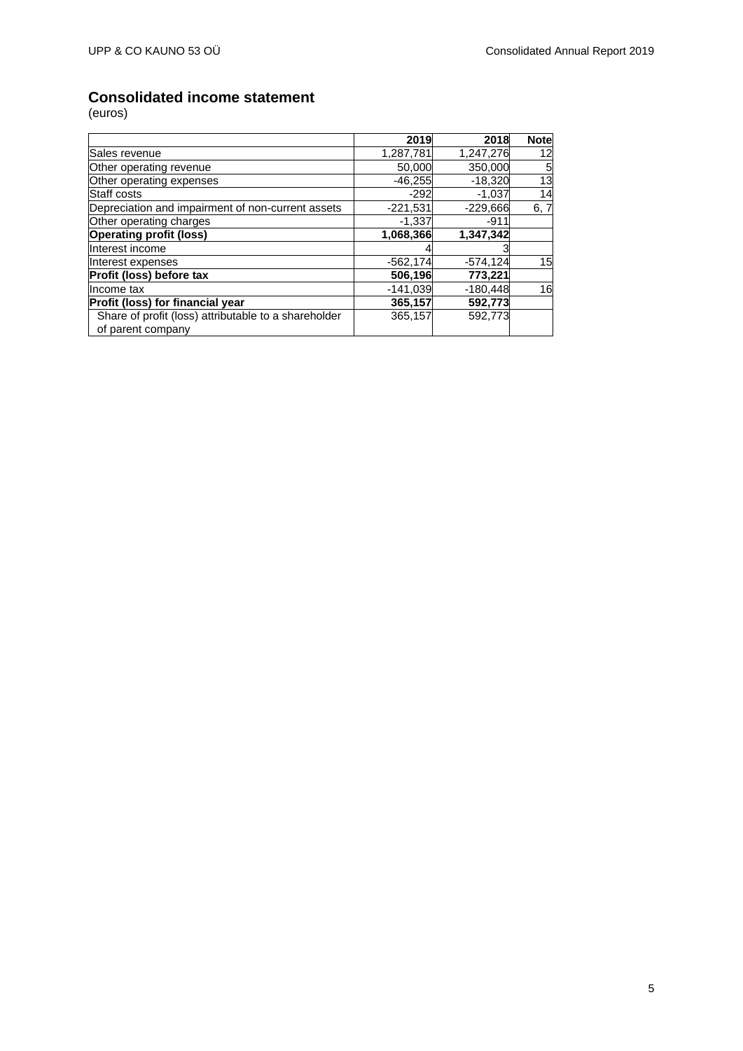# <span id="page-4-0"></span>**Consolidated income statement**

|                                                      | 2019       | 2018        | <b>Note</b> |
|------------------------------------------------------|------------|-------------|-------------|
| Sales revenue                                        | 1,287,781  | 1,247,276   | 12          |
| Other operating revenue                              | 50,000     | 350,000     | 5           |
| Other operating expenses                             | $-46,255$  | $-18,320$   | 13          |
| Staff costs                                          | $-292$     | $-1,037$    | 14          |
| Depreciation and impairment of non-current assets    | $-221,531$ | $-229,666$  | 6, 7        |
| Other operating charges                              | $-1,337$   | $-911$      |             |
| <b>Operating profit (loss)</b>                       | 1,068,366  | 1,347,342   |             |
| Interest income                                      |            |             |             |
| Interest expenses                                    | $-562,174$ | $-574, 124$ | 15          |
| Profit (loss) before tax                             | 506,196    | 773,221     |             |
| Income tax                                           | $-141,039$ | $-180,448$  | 16          |
| Profit (loss) for financial year                     | 365,157    | 592,773     |             |
| Share of profit (loss) attributable to a shareholder | 365,157    | 592,773     |             |
| of parent company                                    |            |             |             |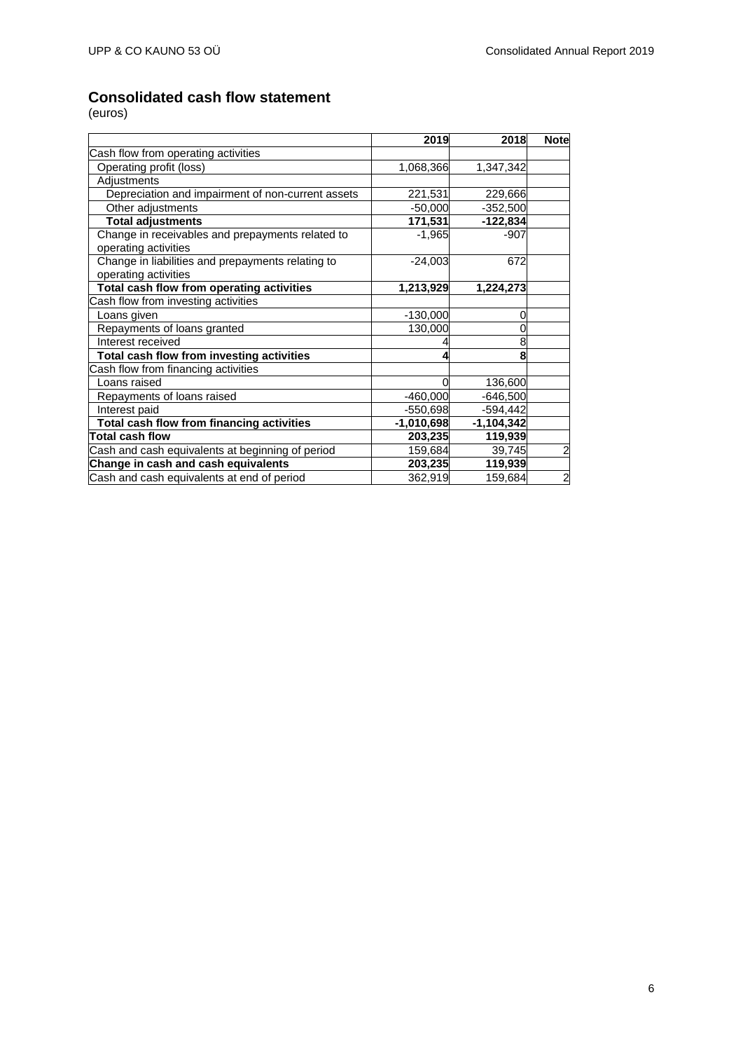# <span id="page-5-0"></span>**Consolidated cash flow statement**

|                                                                           | 2019         | 2018         | <b>Note</b>    |
|---------------------------------------------------------------------------|--------------|--------------|----------------|
| Cash flow from operating activities                                       |              |              |                |
| Operating profit (loss)                                                   | 1,068,366    | 1,347,342    |                |
| Adjustments                                                               |              |              |                |
| Depreciation and impairment of non-current assets                         | 221,531      | 229,666      |                |
| Other adjustments                                                         | $-50,000$    | $-352,500$   |                |
| <b>Total adjustments</b>                                                  | 171,531      | $-122,834$   |                |
| Change in receivables and prepayments related to<br>operating activities  | $-1,965$     | $-907$       |                |
| Change in liabilities and prepayments relating to<br>operating activities | $-24,003$    | 672          |                |
| Total cash flow from operating activities                                 | 1,213,929    | 1,224,273    |                |
| Cash flow from investing activities                                       |              |              |                |
| Loans given                                                               | $-130,000$   |              |                |
| Repayments of loans granted                                               | 130,000      |              |                |
| Interest received                                                         |              | 8            |                |
| <b>Total cash flow from investing activities</b>                          |              | 8            |                |
| Cash flow from financing activities                                       |              |              |                |
| Loans raised                                                              |              | 136,600      |                |
| Repayments of loans raised                                                | $-460,000$   | $-646,500$   |                |
| Interest paid                                                             | $-550,698$   | $-594,442$   |                |
| Total cash flow from financing activities                                 | $-1,010,698$ | $-1,104,342$ |                |
| <b>Total cash flow</b>                                                    | 203,235      | 119,939      |                |
| Cash and cash equivalents at beginning of period                          | 159,684      | 39,745       | $\overline{a}$ |
| Change in cash and cash equivalents                                       | 203,235      | 119,939      |                |
| Cash and cash equivalents at end of period                                | 362,919      | 159,684      | $\overline{a}$ |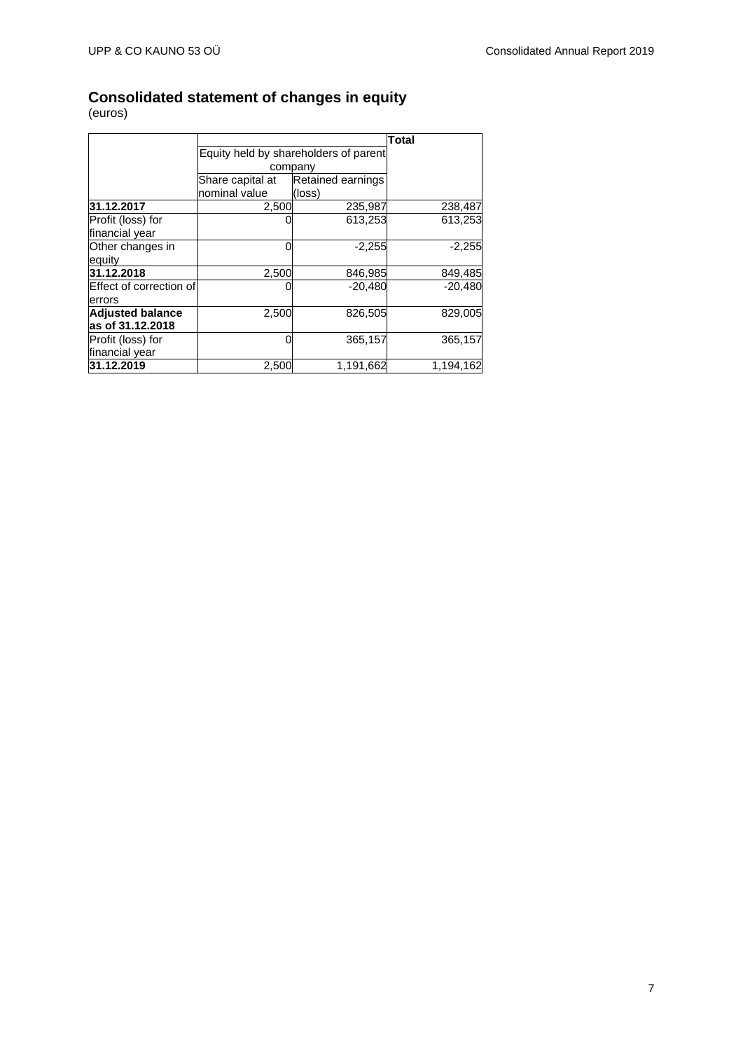## <span id="page-6-0"></span>**Consolidated statement of changes in equity**

|                         |                  |                                       | <b>Total</b> |
|-------------------------|------------------|---------------------------------------|--------------|
|                         |                  | Equity held by shareholders of parent |              |
|                         |                  | company                               |              |
|                         | Share capital at | Retained earnings                     |              |
|                         | nominal value    | (loss)                                |              |
| 31.12.2017              | 2,500            | 235,987                               | 238,487      |
| Profit (loss) for       |                  | 613,253                               | 613,253      |
| financial year          |                  |                                       |              |
| Other changes in        |                  | $-2,255$                              | $-2,255$     |
| equity                  |                  |                                       |              |
| 31.12.2018              | 2,500            | 846,985                               | 849,485      |
| Effect of correction of |                  | $-20,480$                             | $-20,480$    |
| errors                  |                  |                                       |              |
| <b>Adjusted balance</b> | 2,500            | 826,505                               | 829,005      |
| as of 31.12.2018        |                  |                                       |              |
| Profit (loss) for       | 0                | 365,157                               | 365,157      |
| financial year          |                  |                                       |              |
| 31.12.2019              | 2,500            | 1,191,662                             | 1,194,162    |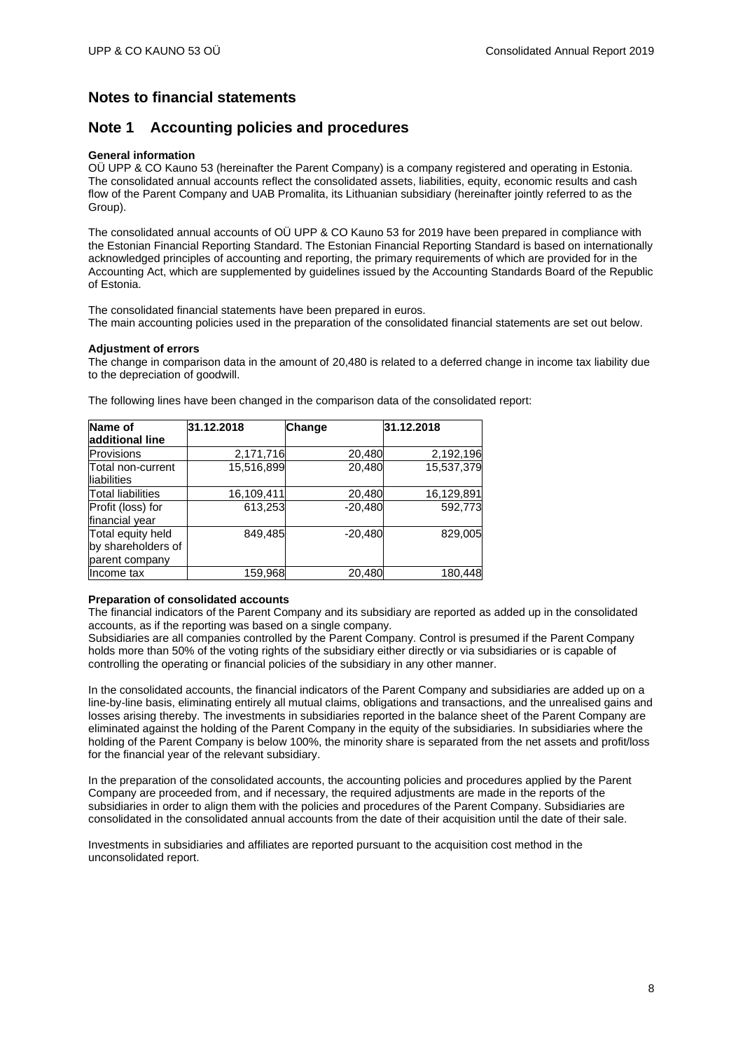### <span id="page-7-0"></span>**Notes to financial statements**

### <span id="page-7-1"></span>**Note 1 Accounting policies and procedures**

### **General information**

OÜ UPP & CO Kauno 53 (hereinafter the Parent Company) is a company registered and operating in Estonia. The consolidated annual accounts reflect the consolidated assets, liabilities, equity, economic results and cash flow of the Parent Company and UAB Promalita, its Lithuanian subsidiary (hereinafter jointly referred to as the Group).

The consolidated annual accounts of OÜ UPP & CO Kauno 53 for 2019 have been prepared in compliance with the Estonian Financial Reporting Standard. The Estonian Financial Reporting Standard is based on internationally acknowledged principles of accounting and reporting, the primary requirements of which are provided for in the Accounting Act, which are supplemented by guidelines issued by the Accounting Standards Board of the Republic of Estonia.

The consolidated financial statements have been prepared in euros. The main accounting policies used in the preparation of the consolidated financial statements are set out below.

### **Adjustment of errors**

The change in comparison data in the amount of 20,480 is related to a deferred change in income tax liability due to the depreciation of goodwill.

|  |  |  |  |  |  |  |  |  | The following lines have been changed in the comparison data of the consolidated report: |  |
|--|--|--|--|--|--|--|--|--|------------------------------------------------------------------------------------------|--|
|--|--|--|--|--|--|--|--|--|------------------------------------------------------------------------------------------|--|

| Name of                                                   | 31.12.2018 | Change    | 31.12.2018 |
|-----------------------------------------------------------|------------|-----------|------------|
| additional line                                           |            |           |            |
| Provisions                                                | 2,171,716  | 20,480    | 2,192,196  |
| Total non-current<br>liabilities                          | 15,516,899 | 20,480    | 15,537,379 |
| <b>Total liabilities</b>                                  | 16,109,411 | 20,480    | 16,129,891 |
| Profit (loss) for<br>financial year                       | 613,253    | $-20.480$ | 592.773    |
| Total equity held<br>by shareholders of<br>parent company | 849,485    | $-20,480$ | 829,005    |
| Income tax                                                | 159,968    | 20,480    | 180,448    |

### **Preparation of consolidated accounts**

The financial indicators of the Parent Company and its subsidiary are reported as added up in the consolidated accounts, as if the reporting was based on a single company.

Subsidiaries are all companies controlled by the Parent Company. Control is presumed if the Parent Company holds more than 50% of the voting rights of the subsidiary either directly or via subsidiaries or is capable of controlling the operating or financial policies of the subsidiary in any other manner.

In the consolidated accounts, the financial indicators of the Parent Company and subsidiaries are added up on a line-by-line basis, eliminating entirely all mutual claims, obligations and transactions, and the unrealised gains and losses arising thereby. The investments in subsidiaries reported in the balance sheet of the Parent Company are eliminated against the holding of the Parent Company in the equity of the subsidiaries. In subsidiaries where the holding of the Parent Company is below 100%, the minority share is separated from the net assets and profit/loss for the financial year of the relevant subsidiary.

In the preparation of the consolidated accounts, the accounting policies and procedures applied by the Parent Company are proceeded from, and if necessary, the required adjustments are made in the reports of the subsidiaries in order to align them with the policies and procedures of the Parent Company. Subsidiaries are consolidated in the consolidated annual accounts from the date of their acquisition until the date of their sale.

Investments in subsidiaries and affiliates are reported pursuant to the acquisition cost method in the unconsolidated report.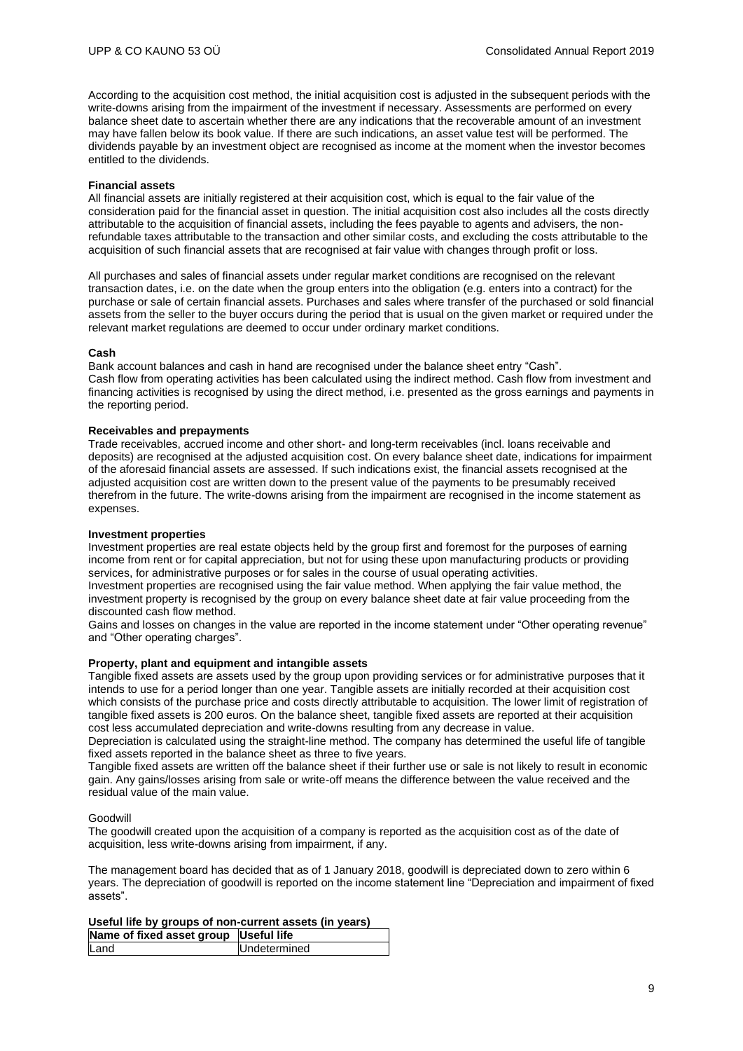According to the acquisition cost method, the initial acquisition cost is adjusted in the subsequent periods with the write-downs arising from the impairment of the investment if necessary. Assessments are performed on every balance sheet date to ascertain whether there are any indications that the recoverable amount of an investment may have fallen below its book value. If there are such indications, an asset value test will be performed. The dividends payable by an investment object are recognised as income at the moment when the investor becomes entitled to the dividends.

#### **Financial assets**

All financial assets are initially registered at their acquisition cost, which is equal to the fair value of the consideration paid for the financial asset in question. The initial acquisition cost also includes all the costs directly attributable to the acquisition of financial assets, including the fees payable to agents and advisers, the nonrefundable taxes attributable to the transaction and other similar costs, and excluding the costs attributable to the acquisition of such financial assets that are recognised at fair value with changes through profit or loss.

All purchases and sales of financial assets under regular market conditions are recognised on the relevant transaction dates, i.e. on the date when the group enters into the obligation (e.g. enters into a contract) for the purchase or sale of certain financial assets. Purchases and sales where transfer of the purchased or sold financial assets from the seller to the buyer occurs during the period that is usual on the given market or required under the relevant market regulations are deemed to occur under ordinary market conditions.

#### **Cash**

Bank account balances and cash in hand are recognised under the balance sheet entry "Cash". Cash flow from operating activities has been calculated using the indirect method. Cash flow from investment and financing activities is recognised by using the direct method, i.e. presented as the gross earnings and payments in the reporting period.

### **Receivables and prepayments**

Trade receivables, accrued income and other short- and long-term receivables (incl. loans receivable and deposits) are recognised at the adjusted acquisition cost. On every balance sheet date, indications for impairment of the aforesaid financial assets are assessed. If such indications exist, the financial assets recognised at the adjusted acquisition cost are written down to the present value of the payments to be presumably received therefrom in the future. The write-downs arising from the impairment are recognised in the income statement as expenses.

#### **Investment properties**

Investment properties are real estate objects held by the group first and foremost for the purposes of earning income from rent or for capital appreciation, but not for using these upon manufacturing products or providing services, for administrative purposes or for sales in the course of usual operating activities.

Investment properties are recognised using the fair value method. When applying the fair value method, the investment property is recognised by the group on every balance sheet date at fair value proceeding from the discounted cash flow method.

Gains and losses on changes in the value are reported in the income statement under "Other operating revenue" and "Other operating charges".

### **Property, plant and equipment and intangible assets**

Tangible fixed assets are assets used by the group upon providing services or for administrative purposes that it intends to use for a period longer than one year. Tangible assets are initially recorded at their acquisition cost which consists of the purchase price and costs directly attributable to acquisition. The lower limit of registration of tangible fixed assets is 200 euros. On the balance sheet, tangible fixed assets are reported at their acquisition cost less accumulated depreciation and write-downs resulting from any decrease in value.

Depreciation is calculated using the straight-line method. The company has determined the useful life of tangible fixed assets reported in the balance sheet as three to five years.

Tangible fixed assets are written off the balance sheet if their further use or sale is not likely to result in economic gain. Any gains/losses arising from sale or write-off means the difference between the value received and the residual value of the main value.

#### Goodwill

The goodwill created upon the acquisition of a company is reported as the acquisition cost as of the date of acquisition, less write-downs arising from impairment, if any.

The management board has decided that as of 1 January 2018, goodwill is depreciated down to zero within 6 years. The depreciation of goodwill is reported on the income statement line "Depreciation and impairment of fixed assets".

### **Useful life by groups of non-current assets (in years)**

| Name of fixed asset group Useful life |                     |
|---------------------------------------|---------------------|
| Land                                  | <b>Undetermined</b> |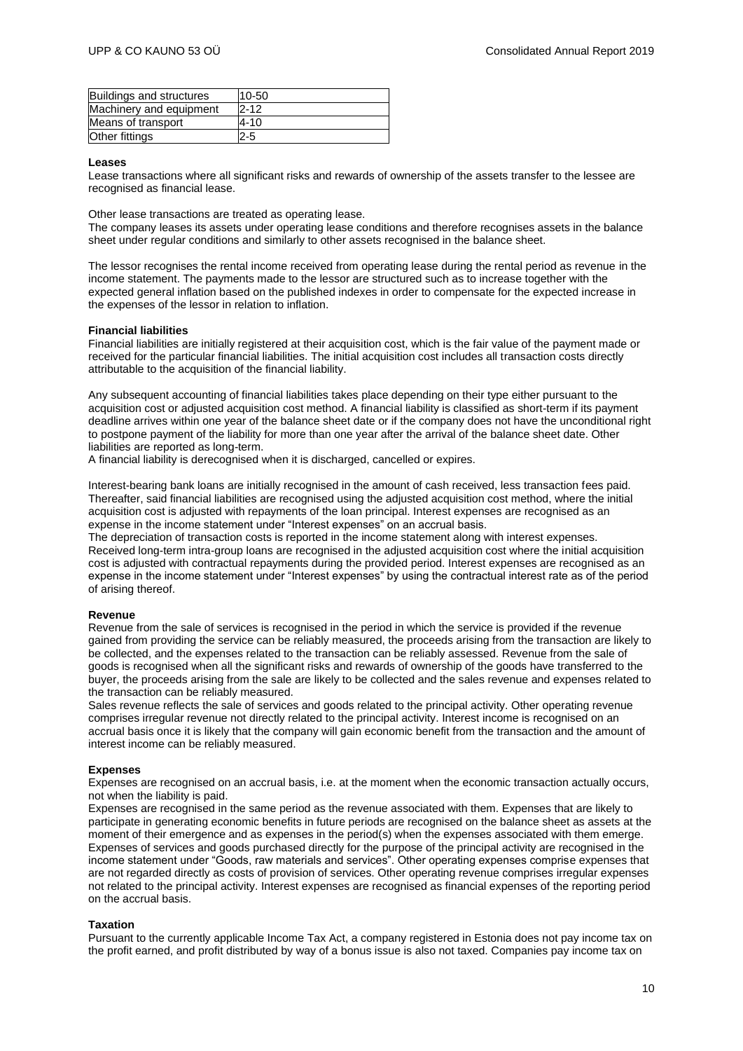| Buildings and structures | 10-50    |
|--------------------------|----------|
| Machinery and equipment  | $P - 12$ |
| Means of transport       | 4-10     |
| Other fittings           | $2 - 5$  |

#### **Leases**

Lease transactions where all significant risks and rewards of ownership of the assets transfer to the lessee are recognised as financial lease.

Other lease transactions are treated as operating lease.

The company leases its assets under operating lease conditions and therefore recognises assets in the balance sheet under regular conditions and similarly to other assets recognised in the balance sheet.

The lessor recognises the rental income received from operating lease during the rental period as revenue in the income statement. The payments made to the lessor are structured such as to increase together with the expected general inflation based on the published indexes in order to compensate for the expected increase in the expenses of the lessor in relation to inflation.

#### **Financial liabilities**

Financial liabilities are initially registered at their acquisition cost, which is the fair value of the payment made or received for the particular financial liabilities. The initial acquisition cost includes all transaction costs directly attributable to the acquisition of the financial liability.

Any subsequent accounting of financial liabilities takes place depending on their type either pursuant to the acquisition cost or adjusted acquisition cost method. A financial liability is classified as short-term if its payment deadline arrives within one year of the balance sheet date or if the company does not have the unconditional right to postpone payment of the liability for more than one year after the arrival of the balance sheet date. Other liabilities are reported as long-term.

A financial liability is derecognised when it is discharged, cancelled or expires.

Interest-bearing bank loans are initially recognised in the amount of cash received, less transaction fees paid. Thereafter, said financial liabilities are recognised using the adjusted acquisition cost method, where the initial acquisition cost is adjusted with repayments of the loan principal. Interest expenses are recognised as an expense in the income statement under "Interest expenses" on an accrual basis.

The depreciation of transaction costs is reported in the income statement along with interest expenses. Received long-term intra-group loans are recognised in the adjusted acquisition cost where the initial acquisition cost is adjusted with contractual repayments during the provided period. Interest expenses are recognised as an expense in the income statement under "Interest expenses" by using the contractual interest rate as of the period of arising thereof.

#### **Revenue**

Revenue from the sale of services is recognised in the period in which the service is provided if the revenue gained from providing the service can be reliably measured, the proceeds arising from the transaction are likely to be collected, and the expenses related to the transaction can be reliably assessed. Revenue from the sale of goods is recognised when all the significant risks and rewards of ownership of the goods have transferred to the buyer, the proceeds arising from the sale are likely to be collected and the sales revenue and expenses related to the transaction can be reliably measured.

Sales revenue reflects the sale of services and goods related to the principal activity. Other operating revenue comprises irregular revenue not directly related to the principal activity. Interest income is recognised on an accrual basis once it is likely that the company will gain economic benefit from the transaction and the amount of interest income can be reliably measured.

### **Expenses**

Expenses are recognised on an accrual basis, i.e. at the moment when the economic transaction actually occurs, not when the liability is paid.

Expenses are recognised in the same period as the revenue associated with them. Expenses that are likely to participate in generating economic benefits in future periods are recognised on the balance sheet as assets at the moment of their emergence and as expenses in the period(s) when the expenses associated with them emerge. Expenses of services and goods purchased directly for the purpose of the principal activity are recognised in the income statement under "Goods, raw materials and services". Other operating expenses comprise expenses that are not regarded directly as costs of provision of services. Other operating revenue comprises irregular expenses not related to the principal activity. Interest expenses are recognised as financial expenses of the reporting period on the accrual basis.

### **Taxation**

Pursuant to the currently applicable Income Tax Act, a company registered in Estonia does not pay income tax on the profit earned, and profit distributed by way of a bonus issue is also not taxed. Companies pay income tax on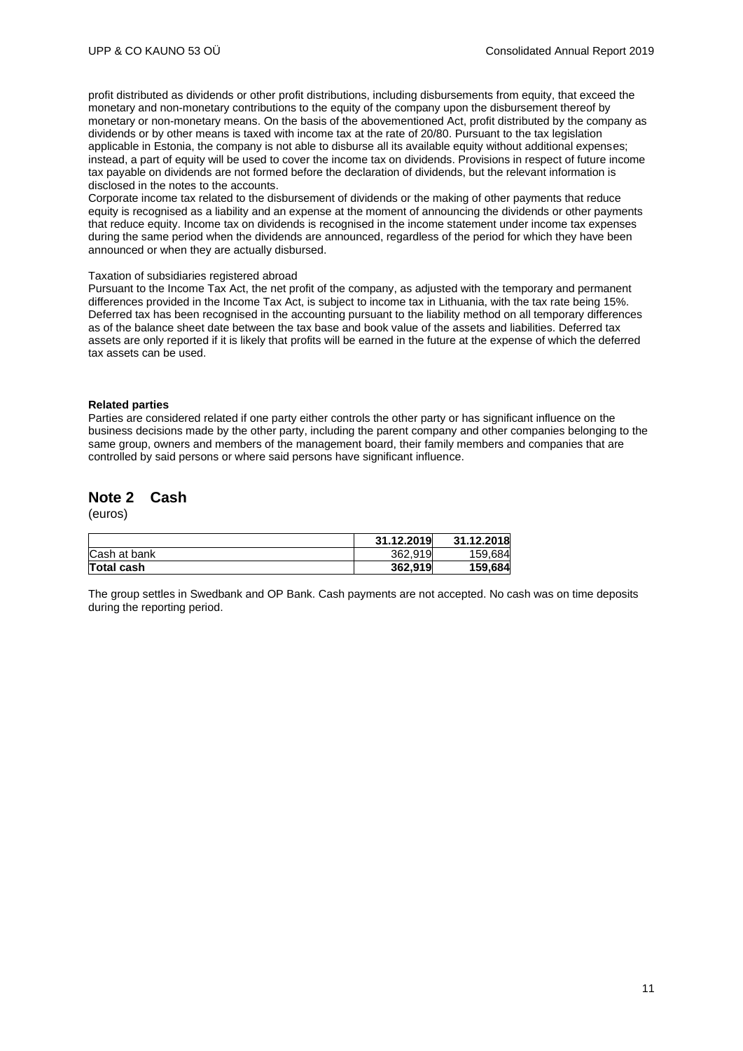profit distributed as dividends or other profit distributions, including disbursements from equity, that exceed the monetary and non-monetary contributions to the equity of the company upon the disbursement thereof by monetary or non-monetary means. On the basis of the abovementioned Act, profit distributed by the company as dividends or by other means is taxed with income tax at the rate of 20/80. Pursuant to the tax legislation applicable in Estonia, the company is not able to disburse all its available equity without additional expenses; instead, a part of equity will be used to cover the income tax on dividends. Provisions in respect of future income tax payable on dividends are not formed before the declaration of dividends, but the relevant information is disclosed in the notes to the accounts.

Corporate income tax related to the disbursement of dividends or the making of other payments that reduce equity is recognised as a liability and an expense at the moment of announcing the dividends or other payments that reduce equity. Income tax on dividends is recognised in the income statement under income tax expenses during the same period when the dividends are announced, regardless of the period for which they have been announced or when they are actually disbursed.

#### Taxation of subsidiaries registered abroad

Pursuant to the Income Tax Act, the net profit of the company, as adjusted with the temporary and permanent differences provided in the Income Tax Act, is subject to income tax in Lithuania, with the tax rate being 15%. Deferred tax has been recognised in the accounting pursuant to the liability method on all temporary differences as of the balance sheet date between the tax base and book value of the assets and liabilities. Deferred tax assets are only reported if it is likely that profits will be earned in the future at the expense of which the deferred tax assets can be used.

### **Related parties**

Parties are considered related if one party either controls the other party or has significant influence on the business decisions made by the other party, including the parent company and other companies belonging to the same group, owners and members of the management board, their family members and companies that are controlled by said persons or where said persons have significant influence.

### <span id="page-10-0"></span>**Note 2 Cash**

(euros)

|              | 31.12.2019 | 31.12.2018 |
|--------------|------------|------------|
| Cash at bank | 362.919    | 159.684    |
| Total cash   | 362,919    | 159,684    |

The group settles in Swedbank and OP Bank. Cash payments are not accepted. No cash was on time deposits during the reporting period.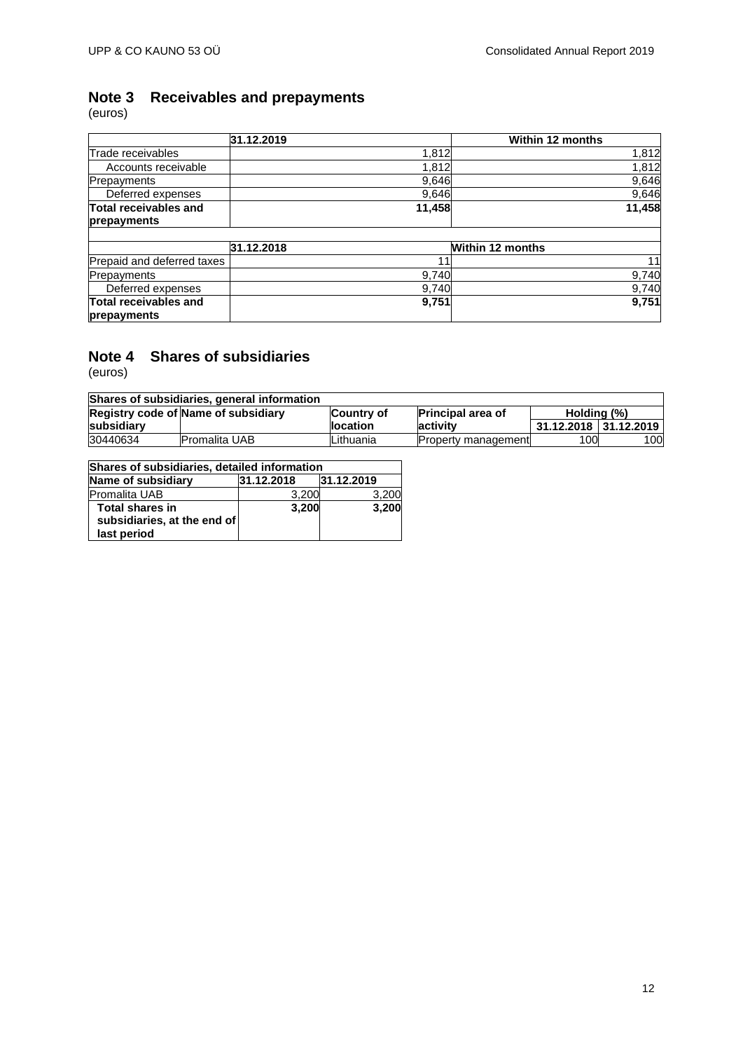# <span id="page-11-0"></span>**Note 3 Receivables and prepayments** Note 3<br>(euros)

|                              | 31.12.2019 |        | <b>Within 12 months</b> |
|------------------------------|------------|--------|-------------------------|
| Trade receivables            |            | 1,812  | 1,812                   |
| Accounts receivable          |            | 1,812  | 1,812                   |
| <b>Prepayments</b>           |            | 9,646  | 9,646                   |
| Deferred expenses            |            | 9,646  | 9,646                   |
| Total receivables and        |            | 11,458 | 11,458                  |
| prepayments                  |            |        |                         |
|                              |            |        |                         |
|                              | 31.12.2018 |        | <b>Within 12 months</b> |
| Prepaid and deferred taxes   |            | 11     | 11                      |
| Prepayments                  |            | 9,740  | 9,740                   |
| Deferred expenses            |            | 9,740  | 9,740                   |
| <b>Total receivables and</b> |            | 9,751  | 9,751                   |
| prepayments                  |            |        |                         |

### <span id="page-11-1"></span>**Note 4 Shares of subsidiaries**

| Shares of subsidiaries, general information |                      |                  |                            |                       |     |  |
|---------------------------------------------|----------------------|------------------|----------------------------|-----------------------|-----|--|
| Registry code of Name of subsidiary         |                      | Country of       | <b>Principal area of</b>   | Holding (%)           |     |  |
| subsidiary                                  |                      | <b>llocation</b> | activity                   | 31.12.2018 31.12.2019 |     |  |
| 30440634                                    | <b>Promalita UAB</b> | Lithuania        | <b>Property management</b> | 100                   | 100 |  |

| Shares of subsidiaries, detailed information                         |            |            |  |  |  |
|----------------------------------------------------------------------|------------|------------|--|--|--|
| Name of subsidiary                                                   | 31.12.2018 | 31.12.2019 |  |  |  |
| Promalita UAB                                                        | 3,200      | 3.200      |  |  |  |
| <b>Total shares in</b><br>subsidiaries, at the end of<br>last period | 3,200      | 3,200      |  |  |  |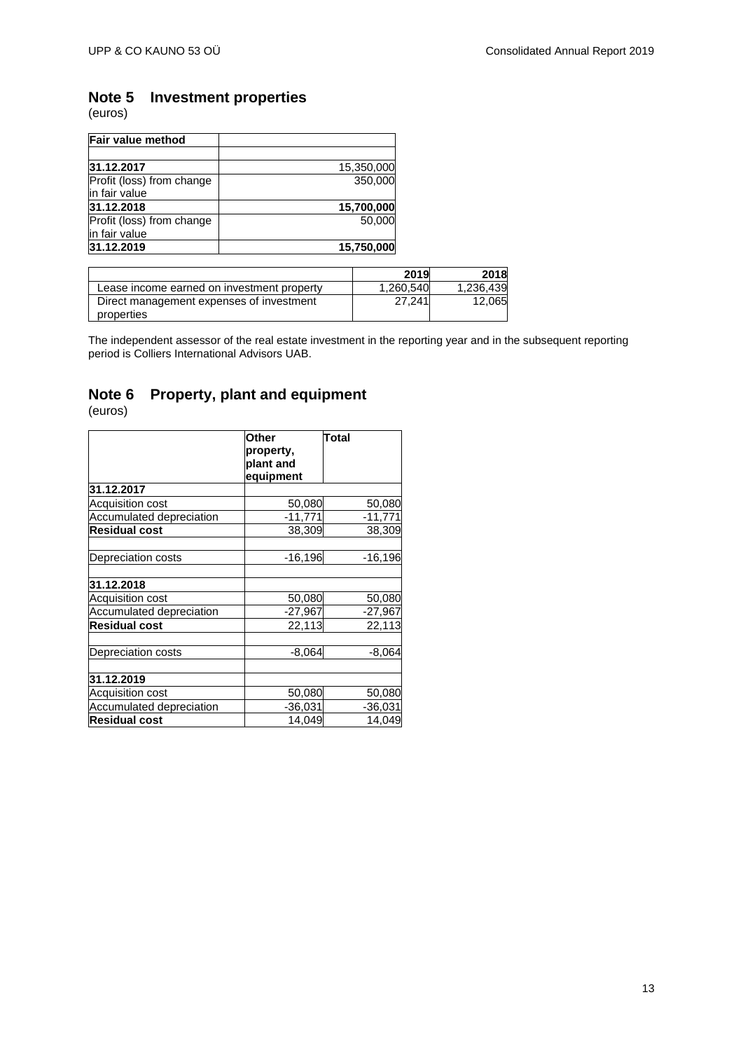# <span id="page-12-0"></span>**Note 5 Investment properties**

(euros)

| Fair value method                          |            |
|--------------------------------------------|------------|
| 31.12.2017                                 | 15,350,000 |
| Profit (loss) from change<br>in fair value | 350,000    |
| 31.12.2018                                 | 15,700,000 |
| Profit (loss) from change<br>in fair value | 50.000     |
| 31.12.2019                                 | 15,750,000 |

|                                                        | 2019      | 2018      |
|--------------------------------------------------------|-----------|-----------|
| Lease income earned on investment property             | 1.260.540 | 1,236,439 |
| Direct management expenses of investment<br>properties | 27.241    | 12,065    |

The independent assessor of the real estate investment in the reporting year and in the subsequent reporting period is Colliers International Advisors UAB.

# <span id="page-12-1"></span>**Note 6 Property, plant and equipment**

|                          | Other     | Total     |
|--------------------------|-----------|-----------|
|                          | property, |           |
|                          | plant and |           |
|                          | equipment |           |
| 31.12.2017               |           |           |
| <b>Acquisition cost</b>  | 50,080    | 50,080    |
| Accumulated depreciation | $-11,771$ | $-11,771$ |
| <b>Residual cost</b>     | 38,309    | 38,309    |
| Depreciation costs       | $-16,196$ | $-16,196$ |
| 31.12.2018               |           |           |
| <b>Acquisition cost</b>  | 50,080    | 50,080    |
| Accumulated depreciation | $-27,967$ | $-27,967$ |
| <b>Residual cost</b>     | 22,113    | 22,113    |
| Depreciation costs       | $-8,064$  | $-8,064$  |
| 31.12.2019               |           |           |
| <b>Acquisition cost</b>  | 50,080    | 50,080    |
| Accumulated depreciation | $-36,031$ | $-36,031$ |
| <b>Residual cost</b>     | 14,049    | 14,049    |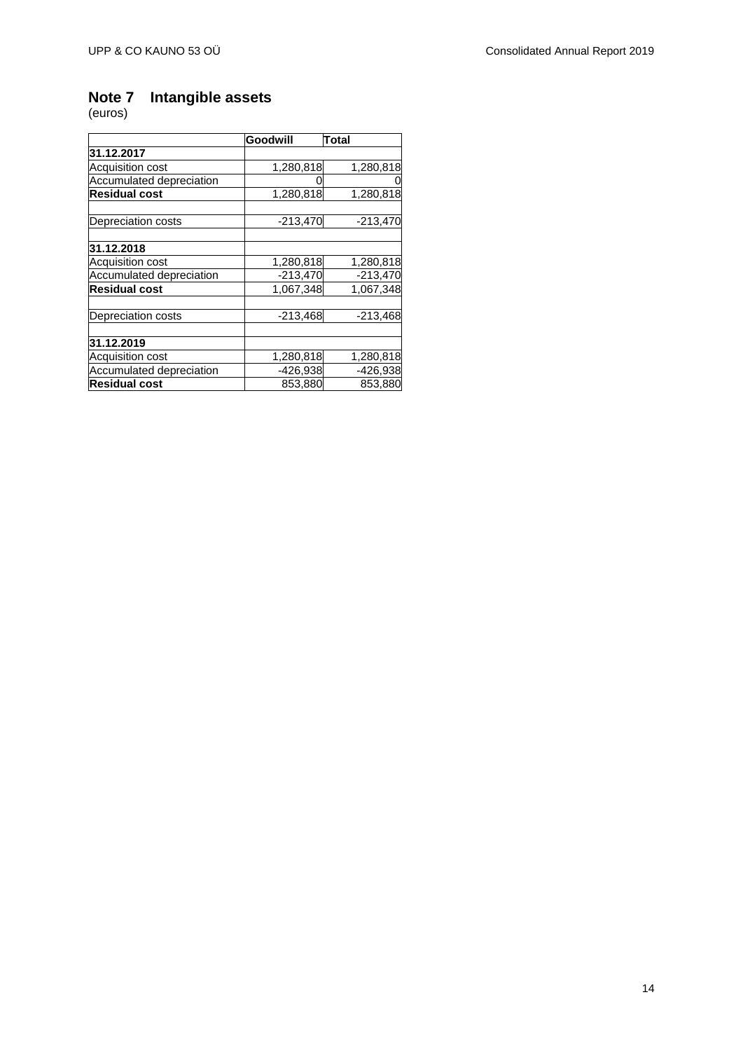# <span id="page-13-0"></span>**Note 7 Intangible assets** Note 7<br>(euros)

|                          | Goodwill   | <b>Total</b> |
|--------------------------|------------|--------------|
| 31.12.2017               |            |              |
| Acquisition cost         | 1,280,818  | 1,280,818    |
| Accumulated depreciation |            | 0            |
| <b>Residual cost</b>     | 1,280,818  | 1,280,818    |
| Depreciation costs       | $-213,470$ | $-213,470$   |
| 31.12.2018               |            |              |
| Acquisition cost         | 1,280,818  | 1,280,818    |
| Accumulated depreciation | $-213,470$ | $-213,470$   |
| <b>Residual cost</b>     | 1,067,348  | 1,067,348    |
| Depreciation costs       | $-213,468$ | $-213,468$   |
| 31.12.2019               |            |              |
| Acquisition cost         | 1,280,818  | 1,280,818    |
| Accumulated depreciation | $-426,938$ | -426,938     |
| <b>Residual cost</b>     | 853,880    | 853,880      |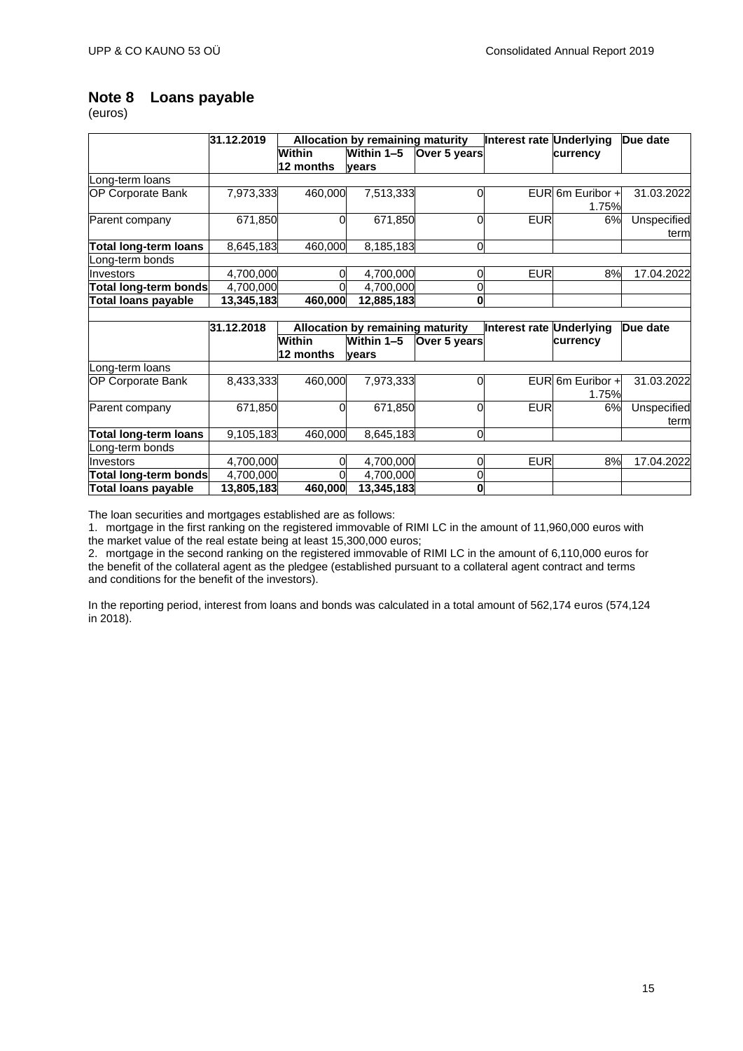# <span id="page-14-0"></span>**Note 8 Loans payable**

(euros)

|                            | 31.12.2019 |               | <b>Allocation by remaining maturity</b> |                | Interest rate Underlying |                           | Due date            |
|----------------------------|------------|---------------|-----------------------------------------|----------------|--------------------------|---------------------------|---------------------|
|                            |            | Within        | Within 1-5                              | Over 5 years   |                          | currency                  |                     |
|                            |            | 12 months     | vears                                   |                |                          |                           |                     |
| Long-term loans            |            |               |                                         |                |                          |                           |                     |
| <b>OP Corporate Bank</b>   | 7,973,333  | 460,000       | 7,513,333                               | $\Omega$       | <b>EUR</b>               | 6m Euribor +<br>1.75%     | 31.03.2022          |
| Parent company             | 671,850    | 0             | 671,850                                 | $\Omega$       | <b>EUR</b>               | 6%                        | Unspecified<br>term |
| Total long-term loans      | 8,645,183  | 460,000       | 8,185,183                               | $\overline{0}$ |                          |                           |                     |
| Long-term bonds            |            |               |                                         |                |                          |                           |                     |
| Investors                  | 4,700,000  |               | 4,700,000                               | 0              | <b>EUR</b>               | 8%                        | 17.04.2022          |
| Total long-term bonds      | 4,700,000  |               | 4,700,000                               | 0              |                          |                           |                     |
| <b>Total loans payable</b> | 13,345,183 | 460,000       | 12,885,183                              | $\mathbf 0$    |                          |                           |                     |
|                            |            |               |                                         |                |                          |                           |                     |
|                            | 31.12.2018 |               | <b>Allocation by remaining maturity</b> |                | Interest rate Underlying |                           | Due date            |
|                            |            | <b>Within</b> | Within 1-5                              | Over 5 years   |                          | currency                  |                     |
|                            |            | 12 months     | vears                                   |                |                          |                           |                     |
| Long-term loans            |            |               |                                         |                |                          |                           |                     |
| <b>OP Corporate Bank</b>   | 8,433,333  | 460,000       | 7,973,333                               | 0              |                          | EUR 6m Euribor +<br>1.75% | 31.03.2022          |
| Parent company             | 671,850    | O             | 671,850                                 | $\Omega$       | <b>EUR</b>               | 6%                        | Unspecified<br>term |
| Total long-term loans      | 9,105,183  | 460,000       | 8,645,183                               | $\overline{0}$ |                          |                           |                     |
| Long-term bonds            |            |               |                                         |                |                          |                           |                     |
| Investors                  | 4,700,000  |               | 4,700,000                               | $\overline{0}$ | <b>EUR</b>               | 8%                        | 17.04.2022          |
| Total long-term bonds      | 4,700,000  |               | 4,700,000                               | 0              |                          |                           |                     |
| <b>Total loans payable</b> | 13,805,183 | 460,000       | 13,345,183                              | O              |                          |                           |                     |

The loan securities and mortgages established are as follows:

1. mortgage in the first ranking on the registered immovable of RIMI LC in the amount of 11,960,000 euros with the market value of the real estate being at least 15,300,000 euros;

2. mortgage in the second ranking on the registered immovable of RIMI LC in the amount of 6,110,000 euros for the benefit of the collateral agent as the pledgee (established pursuant to a collateral agent contract and terms and conditions for the benefit of the investors).

In the reporting period, interest from loans and bonds was calculated in a total amount of 562,174 euros (574,124 in 2018).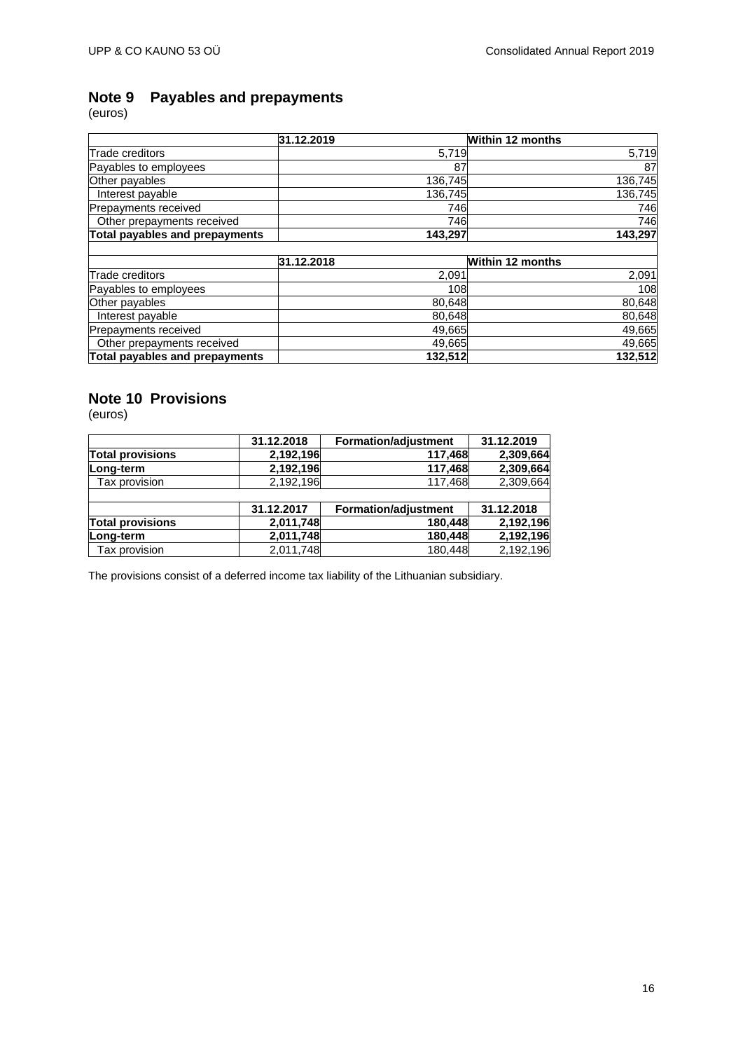# <span id="page-15-0"></span>**Payables and prepayments** Note 9<br>(euros)

|                                | 31.12.2019 | <b>Within 12 months</b> |
|--------------------------------|------------|-------------------------|
| Trade creditors                | 5,719      | 5,719                   |
| Payables to employees          | 87         | 87                      |
| Other payables                 | 136,745    | 136,745                 |
| Interest payable               | 136,745    | 136,745                 |
| Prepayments received           | 746        | 746                     |
| Other prepayments received     | 746        | 746                     |
| Total payables and prepayments | 143,297    | 143,297                 |
|                                | 31.12.2018 | <b>Within 12 months</b> |
| <b>Trade creditors</b>         | 2,091      | 2,091                   |
| Payables to employees          | 108        | 108                     |
| Other payables                 | 80,648     | 80,648                  |
| Interest payable               | 80,648     | 80,648                  |
| Prepayments received           | 49,665     | 49,665                  |
| Other prepayments received     | 49,665     | 49,665                  |
| Total payables and prepayments | 132,512    | 132,512                 |

### <span id="page-15-1"></span>**Note 10 Provisions**

(euros)

|                         | 31.12.2018 | <b>Formation/adjustment</b> | 31.12.2019 |
|-------------------------|------------|-----------------------------|------------|
| <b>Total provisions</b> | 2,192,196  | 117,468                     | 2,309,664  |
| Long-term               | 2,192,196  | 117,468                     | 2,309,664  |
| Tax provision           | 2,192,196  | 117,468                     | 2,309,664  |
|                         |            |                             |            |
|                         | 31.12.2017 | <b>Formation/adjustment</b> | 31.12.2018 |
| <b>Total provisions</b> | 2,011,748  | 180,448                     | 2,192,196  |
| Long-term               | 2,011,748  | 180,448                     | 2,192,196  |
| Tax provision           | 2,011,748  | 180,448                     | 2,192,196  |

The provisions consist of a deferred income tax liability of the Lithuanian subsidiary.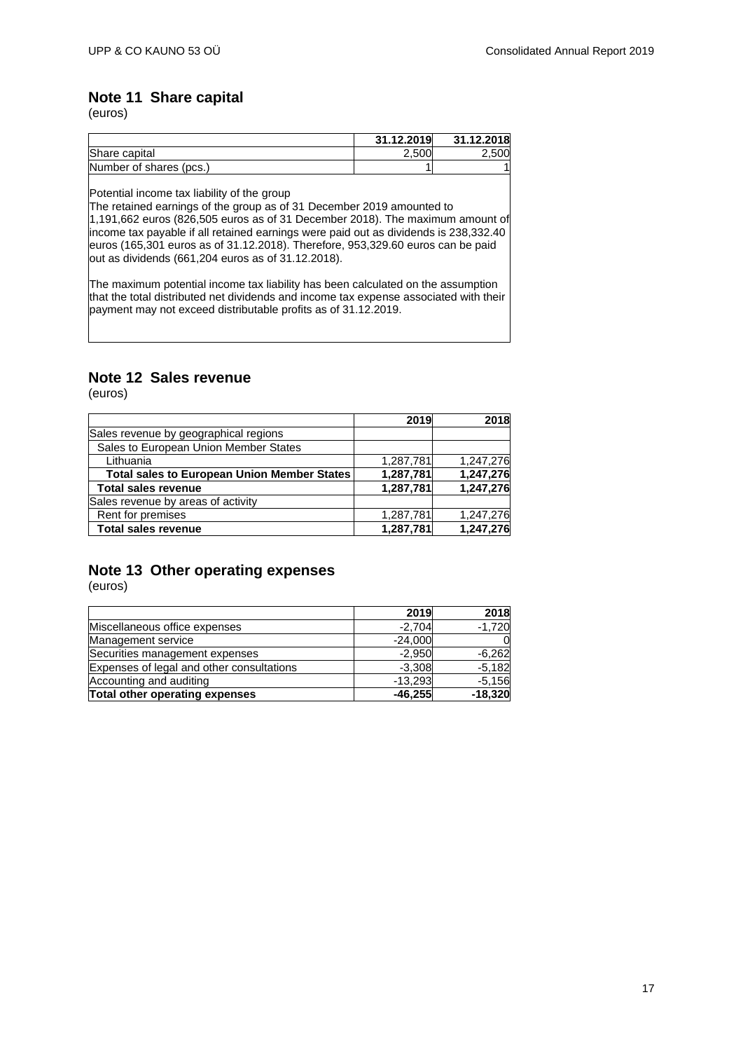## <span id="page-16-0"></span>**Note 11 Share capital**

(euros)

|                         | 31.12.2019 | 31.12.2018 |
|-------------------------|------------|------------|
| Share capital           | 2,500      | 2.500      |
| Number of shares (pcs.) |            |            |

Potential income tax liability of the group

The retained earnings of the group as of 31 December 2019 amounted to 1,191,662 euros (826,505 euros as of 31 December 2018). The maximum amount of income tax payable if all retained earnings were paid out as dividends is 238,332.40 euros (165,301 euros as of 31.12.2018). Therefore, 953,329.60 euros can be paid out as dividends (661,204 euros as of 31.12.2018).

The maximum potential income tax liability has been calculated on the assumption that the total distributed net dividends and income tax expense associated with their payment may not exceed distributable profits as of 31.12.2019.

### <span id="page-16-1"></span>**Note 12 Sales revenue**

(euros)

|                                                    | 2019      | 2018      |
|----------------------------------------------------|-----------|-----------|
| Sales revenue by geographical regions              |           |           |
| Sales to European Union Member States              |           |           |
| Lithuania                                          | 1,287,781 | 1,247,276 |
| <b>Total sales to European Union Member States</b> | 1,287,781 | 1,247,276 |
| <b>Total sales revenue</b>                         | 1,287,781 | 1,247,276 |
| Sales revenue by areas of activity                 |           |           |
| Rent for premises                                  | 1,287,781 | 1,247,276 |
| <b>Total sales revenue</b>                         | 1,287,781 | 1,247,276 |

# <span id="page-16-2"></span>**Note 13 Other operating expenses**

|                                           | 2019      | 2018      |
|-------------------------------------------|-----------|-----------|
| Miscellaneous office expenses             | $-2.704$  | $-1,720$  |
| Management service                        | $-24,000$ |           |
| Securities management expenses            | $-2,950$  | $-6,262$  |
| Expenses of legal and other consultations | $-3,308$  | $-5,182$  |
| Accounting and auditing                   | $-13.293$ | $-5,156$  |
| Total other operating expenses            | $-46,255$ | $-18,320$ |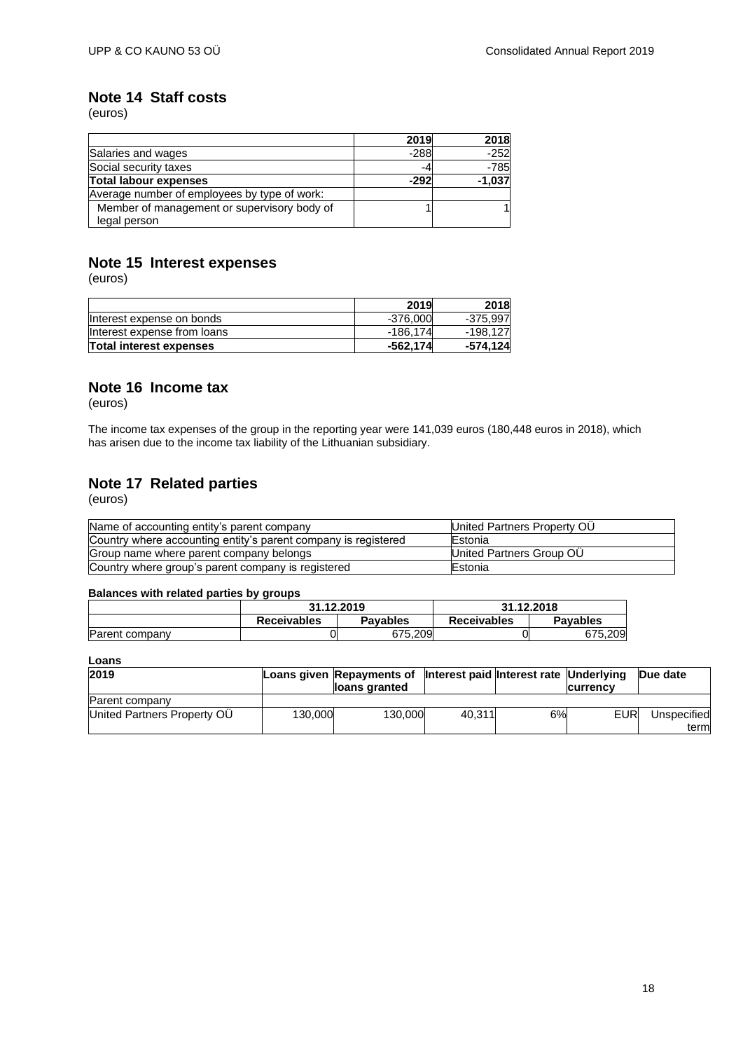## <span id="page-17-0"></span>**Note 14 Staff costs**

(euros)

|                                              | 2019   | 2018     |
|----------------------------------------------|--------|----------|
| Salaries and wages                           | $-288$ | $-252$   |
| Social security taxes                        | -4     | -785     |
| <b>Total labour expenses</b>                 | $-292$ | $-1,037$ |
| Average number of employees by type of work: |        |          |
| Member of management or supervisory body of  |        |          |
| legal person                                 |        |          |

# <span id="page-17-1"></span>**Note 15 Interest expenses**

(euros)

|                             | 2019       | 2018     |
|-----------------------------|------------|----------|
| Interest expense on bonds   | $-376,000$ | -375.997 |
| Interest expense from loans | $-186.174$ | -198.127 |
| Total interest expenses     | $-562,174$ | -574,124 |

### <span id="page-17-2"></span>**Note 16 Income tax**

(euros)

The income tax expenses of the group in the reporting year were 141,039 euros (180,448 euros in 2018), which has arisen due to the income tax liability of the Lithuanian subsidiary.

# <span id="page-17-3"></span>**Note 17 Related parties**

(euros)

| Name of accounting entity's parent company                     | United Partners Property OU      |
|----------------------------------------------------------------|----------------------------------|
| Country where accounting entity's parent company is registered | Estonia                          |
| Group name where parent company belongs                        | <b>IUnited Partners Group OU</b> |
| Country where group's parent company is registered             | <b>IEstonia</b>                  |

### **Balances with related parties by groups**

|                | 31.12.2019         |                 |                    | 31.12.2018      |
|----------------|--------------------|-----------------|--------------------|-----------------|
|                | <b>Receivables</b> | <b>Pavables</b> | <b>Receivables</b> | <b>Pavables</b> |
| Parent company |                    | 675.209         |                    | .209<br>675     |

### **Loans**

| 2019                        |         | Loans given Repayments of Interest paid Interest rate Underlying<br>lloans granted |        |    | <b>Currency</b> | <b>Due date</b> |
|-----------------------------|---------|------------------------------------------------------------------------------------|--------|----|-----------------|-----------------|
| Parent company              |         |                                                                                    |        |    |                 |                 |
| United Partners Property OU | 130.000 | 130,000                                                                            | 40.311 | 6% | EUR             | Unspecified     |
|                             |         |                                                                                    |        |    |                 | term            |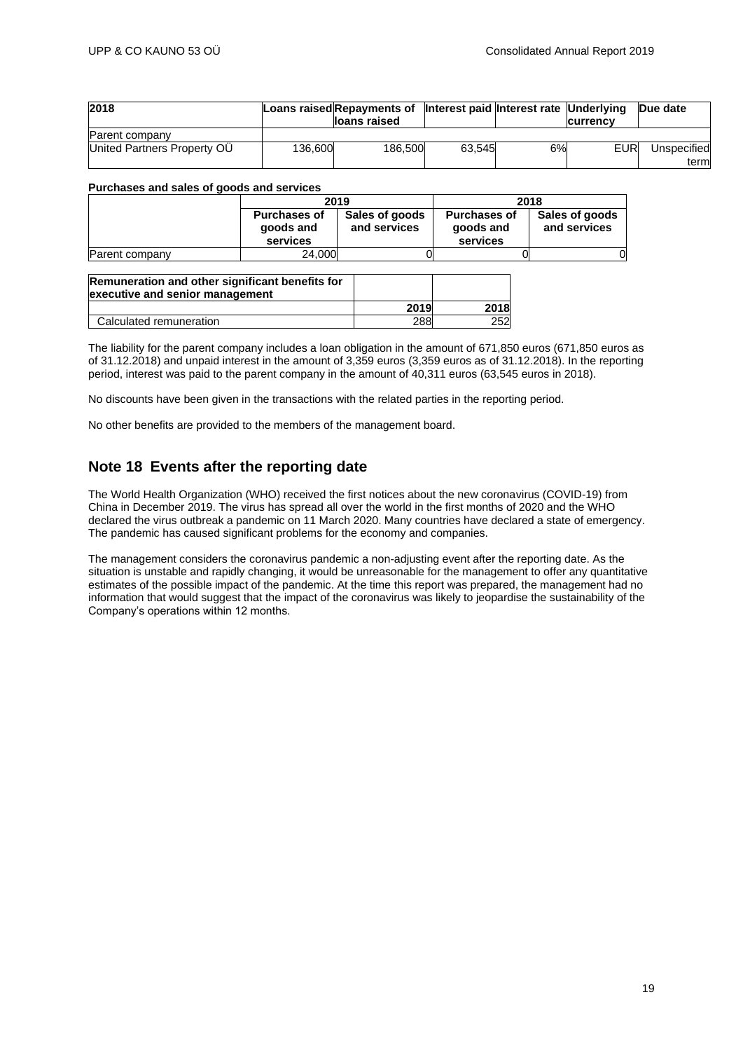| 2018                        |         | Loans raised Repayments of Interest paid Interest rate Underlying<br>lloans raised |        |    | <b>Currency</b> | <b>Due date</b>      |
|-----------------------------|---------|------------------------------------------------------------------------------------|--------|----|-----------------|----------------------|
| Parent company              |         |                                                                                    |        |    |                 |                      |
| United Partners Property OU | 136.600 | 186,500                                                                            | 63.545 | 6% | EUR             | Unspecified<br>terml |

#### **Purchases and sales of goods and services**

|                | 2019                                         |                                | 2018                                         |                                |
|----------------|----------------------------------------------|--------------------------------|----------------------------------------------|--------------------------------|
|                | <b>Purchases of</b><br>goods and<br>services | Sales of goods<br>and services | <b>Purchases of</b><br>goods and<br>services | Sales of goods<br>and services |
| Parent company | 24.000                                       |                                |                                              |                                |

| Remuneration and other significant benefits for<br>executive and senior management |      |      |
|------------------------------------------------------------------------------------|------|------|
|                                                                                    | 2019 | 2018 |
| Calculated remuneration                                                            | 288  | 252  |

The liability for the parent company includes a loan obligation in the amount of 671,850 euros (671,850 euros as of 31.12.2018) and unpaid interest in the amount of 3,359 euros (3,359 euros as of 31.12.2018). In the reporting period, interest was paid to the parent company in the amount of 40,311 euros (63,545 euros in 2018).

No discounts have been given in the transactions with the related parties in the reporting period.

No other benefits are provided to the members of the management board.

### <span id="page-18-0"></span>**Note 18 Events after the reporting date**

The World Health Organization (WHO) received the first notices about the new coronavirus (COVID-19) from China in December 2019. The virus has spread all over the world in the first months of 2020 and the WHO declared the virus outbreak a pandemic on 11 March 2020. Many countries have declared a state of emergency. The pandemic has caused significant problems for the economy and companies.

The management considers the coronavirus pandemic a non-adjusting event after the reporting date. As the situation is unstable and rapidly changing, it would be unreasonable for the management to offer any quantitative estimates of the possible impact of the pandemic. At the time this report was prepared, the management had no information that would suggest that the impact of the coronavirus was likely to jeopardise the sustainability of the Company's operations within 12 months.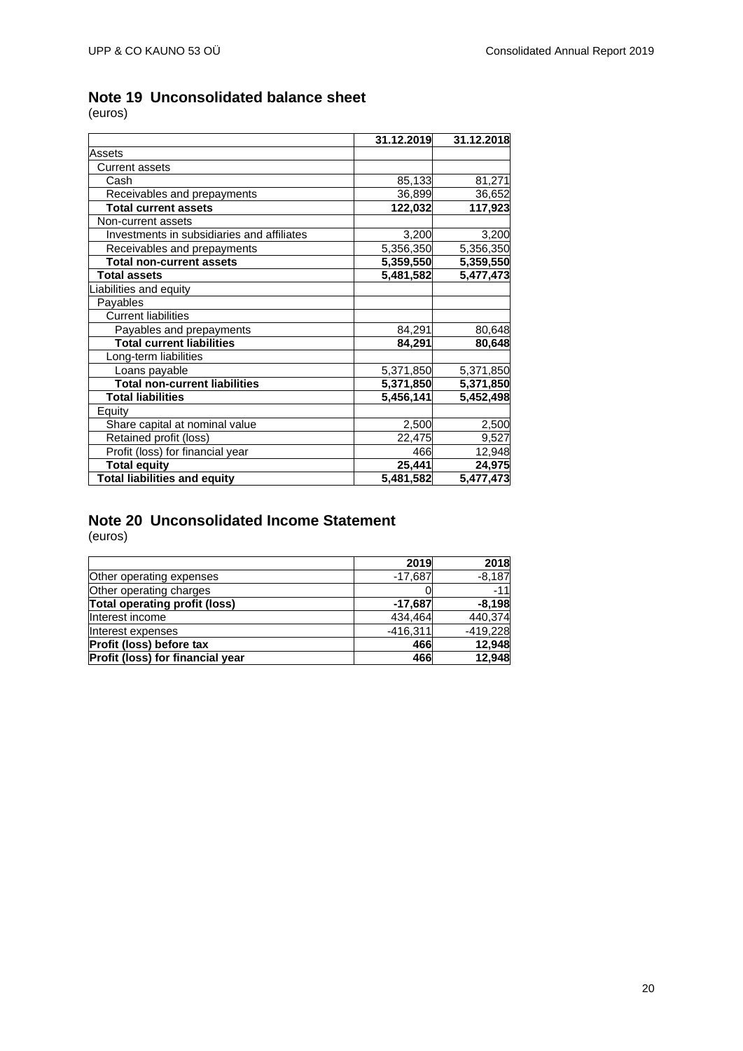# <span id="page-19-0"></span>**Note 19 Unconsolidated balance sheet**

(euros)

|                                            | 31.12.2019 | 31.12.2018 |
|--------------------------------------------|------------|------------|
| Assets                                     |            |            |
| Current assets                             |            |            |
| Cash                                       | 85,133     | 81,271     |
| Receivables and prepayments                | 36,899     | 36,652     |
| <b>Total current assets</b>                | 122,032    | 117,923    |
| Non-current assets                         |            |            |
| Investments in subsidiaries and affiliates | 3,200      | 3,200      |
| Receivables and prepayments                | 5,356,350  | 5,356,350  |
| <b>Total non-current assets</b>            | 5,359,550  | 5,359,550  |
| <b>Total assets</b>                        | 5,481,582  | 5,477,473  |
| iabilities and equity                      |            |            |
| Payables                                   |            |            |
| <b>Current liabilities</b>                 |            |            |
| Payables and prepayments                   | 84,291     | 80,648     |
| <b>Total current liabilities</b>           | 84,291     | 80,648     |
| Long-term liabilities                      |            |            |
| Loans payable                              | 5,371,850  | 5,371,850  |
| <b>Total non-current liabilities</b>       | 5,371,850  | 5,371,850  |
| <b>Total liabilities</b>                   | 5,456,141  | 5,452,498  |
| Equity                                     |            |            |
| Share capital at nominal value             | 2,500      | 2,500      |
| Retained profit (loss)                     | 22,475     | 9,527      |
| Profit (loss) for financial year           | 466        | 12,948     |
| <b>Total equity</b>                        | 25,441     | 24,975     |
| <b>Total liabilities and equity</b>        | 5,481,582  | 5,477,473  |

# <span id="page-19-1"></span>**Note 20 Unconsolidated Income Statement**

|                                  | 2019       | 2018       |
|----------------------------------|------------|------------|
| Other operating expenses         | $-17,687$  | $-8,187$   |
| Other operating charges          |            | $-11$      |
| Total operating profit (loss)    | $-17,687$  | $-8,198$   |
| Interest income                  | 434.464    | 440,374    |
| Interest expenses                | $-416,311$ | $-419,228$ |
| Profit (loss) before tax         | 466        | 12,948     |
| Profit (loss) for financial year | 466        | 12,948     |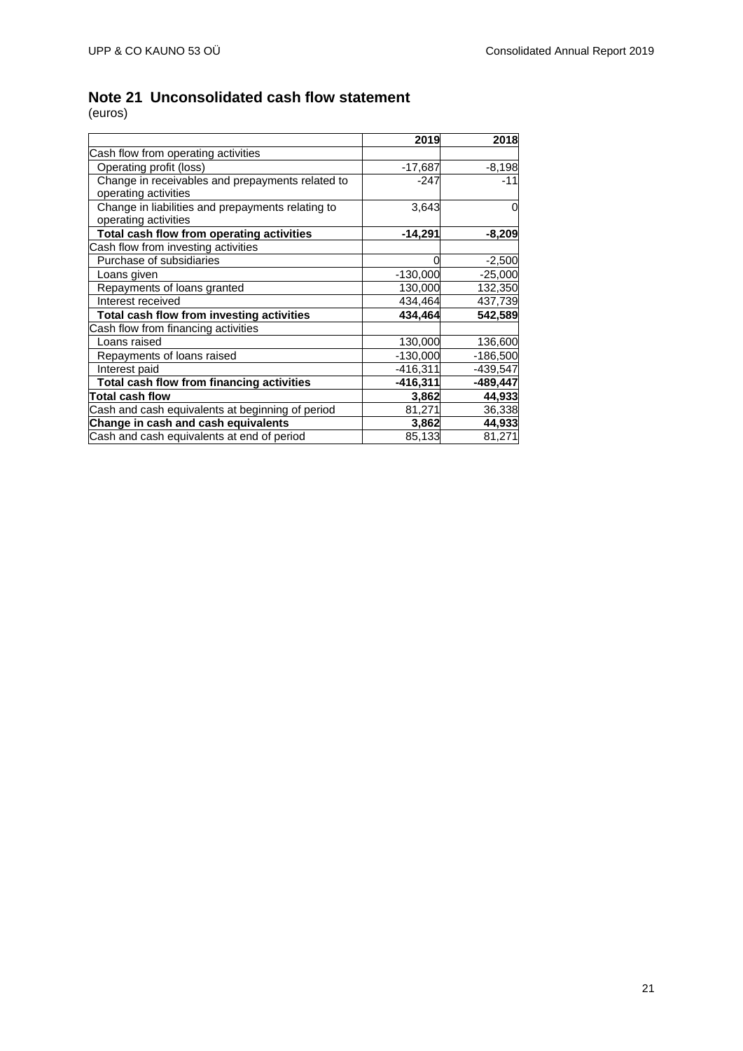# <span id="page-20-0"></span>**Note 21 Unconsolidated cash flow statement**

|                                                                           | 2019       | 2018       |
|---------------------------------------------------------------------------|------------|------------|
| Cash flow from operating activities                                       |            |            |
| Operating profit (loss)                                                   | -17,687    | $-8,198$   |
| Change in receivables and prepayments related to<br>operating activities  | $-247$     | $-11$      |
| Change in liabilities and prepayments relating to<br>operating activities | 3,643      |            |
| Total cash flow from operating activities                                 | $-14,291$  | $-8,209$   |
| Cash flow from investing activities                                       |            |            |
| Purchase of subsidiaries                                                  |            | $-2,500$   |
| Loans given                                                               | $-130,000$ | $-25,000$  |
| Repayments of loans granted                                               | 130,000    | 132,350    |
| Interest received                                                         | 434,464    | 437,739    |
| Total cash flow from investing activities                                 | 434,464    | 542,589    |
| Cash flow from financing activities                                       |            |            |
| Loans raised                                                              | 130,000    | 136,600    |
| Repayments of loans raised                                                | $-130,000$ | $-186,500$ |
| Interest paid                                                             | $-416,311$ | $-439,547$ |
| Total cash flow from financing activities                                 | -416,311   | -489,447   |
| <b>Total cash flow</b>                                                    | 3,862      | 44,933     |
| Cash and cash equivalents at beginning of period                          | 81,271     | 36,338     |
| Change in cash and cash equivalents                                       | 3,862      | 44,933     |
| Cash and cash equivalents at end of period                                | 85,133     | 81,271     |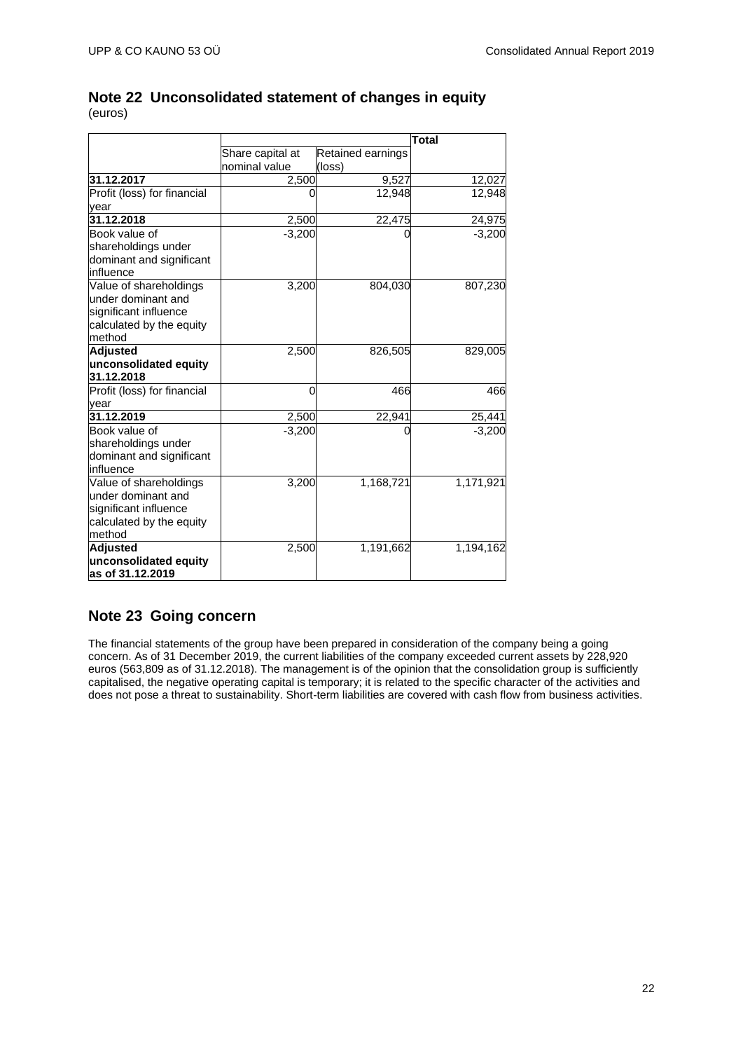# <span id="page-21-0"></span>**Note 22 Unconsolidated statement of changes in equity**

(euros)

|                             |                  | Total             |           |
|-----------------------------|------------------|-------------------|-----------|
|                             | Share capital at | Retained earnings |           |
|                             | nominal value    | (loss)            |           |
| 31.12.2017                  | 2,500            | 9,527             | 12,027    |
| Profit (loss) for financial |                  | 12,948            | 12,948    |
| year                        |                  |                   |           |
| 31.12.2018                  | 2,500            | 22,475            | 24,975    |
| Book value of               | $-3,200$         |                   | $-3,200$  |
| shareholdings under         |                  |                   |           |
| dominant and significant    |                  |                   |           |
| influence                   |                  |                   |           |
| Value of shareholdings      | 3,200            | 804,030           | 807,230   |
| under dominant and          |                  |                   |           |
| significant influence       |                  |                   |           |
| calculated by the equity    |                  |                   |           |
| method                      |                  |                   |           |
| <b>Adjusted</b>             | 2,500            | 826,505           | 829,005   |
| unconsolidated equity       |                  |                   |           |
| 31.12.2018                  |                  |                   |           |
| Profit (loss) for financial | $\Omega$         | 466               | 466       |
| vear                        |                  |                   |           |
| 31.12.2019                  | 2,500            | 22,941            | 25,441    |
| Book value of               | $-3,200$         | 0                 | $-3,200$  |
| shareholdings under         |                  |                   |           |
| dominant and significant    |                  |                   |           |
| influence                   |                  |                   |           |
| Value of shareholdings      | 3,200            | 1,168,721         | 1,171,921 |
| under dominant and          |                  |                   |           |
| significant influence       |                  |                   |           |
| calculated by the equity    |                  |                   |           |
| method                      |                  |                   |           |
| <b>Adjusted</b>             | 2,500            | 1,191,662         | 1,194,162 |
| unconsolidated equity       |                  |                   |           |
| as of 31.12.2019            |                  |                   |           |

## <span id="page-21-1"></span>**Note 23 Going concern**

The financial statements of the group have been prepared in consideration of the company being a going concern. As of 31 December 2019, the current liabilities of the company exceeded current assets by 228,920 euros (563,809 as of 31.12.2018). The management is of the opinion that the consolidation group is sufficiently capitalised, the negative operating capital is temporary; it is related to the specific character of the activities and does not pose a threat to sustainability. Short-term liabilities are covered with cash flow from business activities.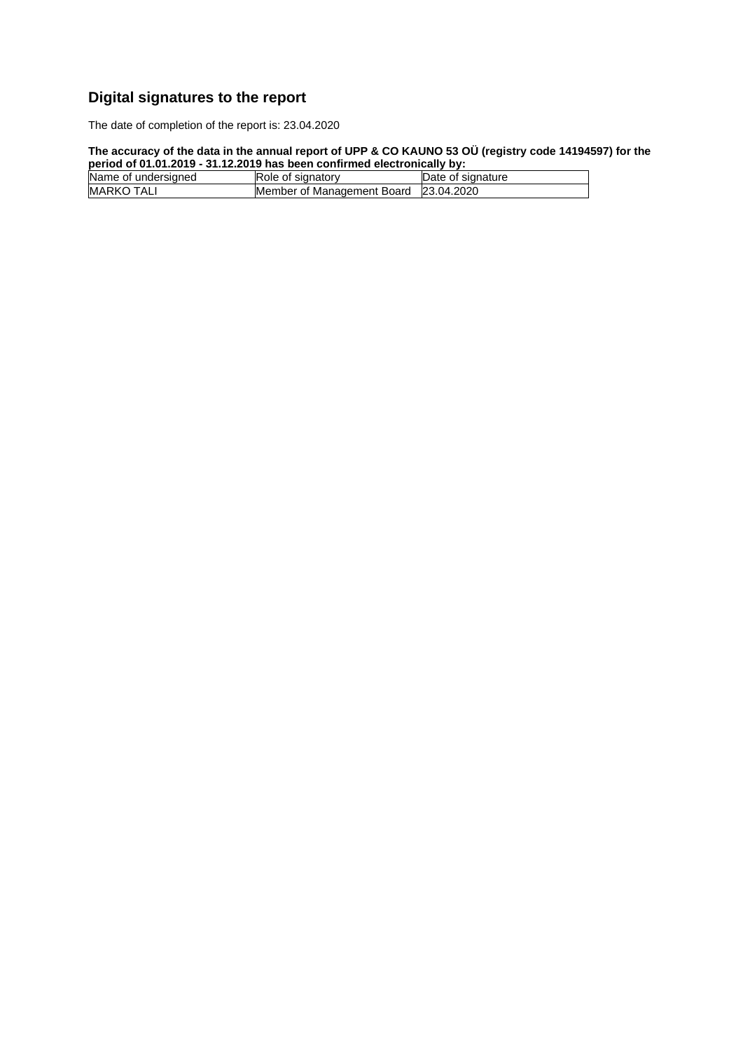# <span id="page-22-0"></span>**Digital signatures to the report**

The date of completion of the report is: 23.04.2020

### **The accuracy of the data in the annual report of UPP & CO KAUNO 53 OÜ (registry code 14194597) for the period of 01.01.2019 - 31.12.2019 has been confirmed electronically by:**

| <u>poliod of pillo is a children of the pool voluntile of violity with</u> |                                       |                   |
|----------------------------------------------------------------------------|---------------------------------------|-------------------|
| Name of undersigned                                                        | Role of signatory                     | Date of signature |
| <b>MARKO TALI</b>                                                          | Member of Management Board 23.04.2020 |                   |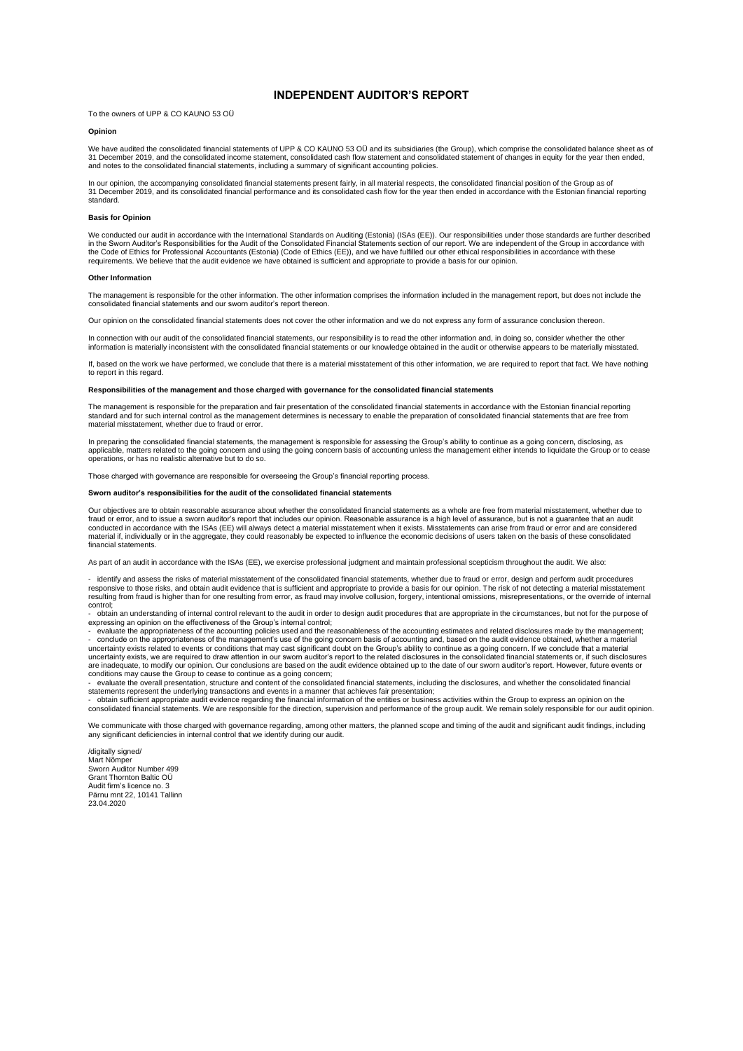#### **INDEPENDENT AUDITOR'S REPORT**

<span id="page-23-0"></span>To the owners of UPP & CO KAUNO 53 OÜ

#### **Opinion**

We have audited the consolidated financial statements of UPP & CO KAUNO 53 OU and its subsidiaries (the Group), which comprise the consolidated balance sheet as of<br>31 December 2019, and the consolidated income statement, c

In our opinion, the accompanying consolidated financial statements present fairly, in all material respects, the consolidated financial position of the Group as of<br>31 December 2019, and its consolidated financial performan

#### **Basis for Opinion**

We conducted our audit in accordance with the International Standards on Auditing (Estonia) (ISAs (EE)). Our responsibilities under those standards are further described in the Sworn Auditor's Responsibilities for the Audit of the Consolidated Financial Statements section of our report. We are independent of the Group in accordance with<br>the Code of Ethics for Professional Accountants (Esto requirements. We believe that the audit evidence we have obtained is sufficient and appropriate to provide a basis for our opinion.

#### **Other Information**

The management is responsible for the other information. The other information comprises the information included in the management report, but does not include the consolidated financial statements and our sworn auditor's report thereon.

Our opinion on the consolidated financial statements does not cover the other information and we do not express any form of assurance conclusion thereon.

In connection with our audit of the consolidated financial statements, our responsibility is to read the other information and, in doing so, consider whether the other information is materially inconsistent with the consolidated financial statements or our knowledge obtained in the audit or otherwise appears to be materially misstated.

If, based on the work we have performed, we conclude that there is a material misstatement of this other information, we are required to report that fact. We have nothing to report in this regard.

#### **Responsibilities of the management and those charged with governance for the consolidated financial statements**

The management is responsible for the preparation and fair presentation of the consolidated financial statements in accordance with the Estonian financial reporting standard and for such internal control as the management determines is necessary to enable the preparation of consolidated financial statements that are free from material misstatement, whether due to fraud or error.

In preparing the consolidated financial statements, the management is responsible for assessing the Group's ability to continue as a going concern, disclosing, as applicable, matters related to the going concern and using the going concern basis of accounting unless the management either intends to liquidate the Group or to cease<br>operations, or has no realistic alternative but to do

Those charged with governance are responsible for overseeing the Group's financial reporting process.

#### **Sworn auditor's responsibilities for the audit of the consolidated financial statements**

Our objectives are to obtain reasonable assurance about whether the consolidated financial statements as a whole are free from material misstatement, whether due to fraud or error, and to issue a sworn auditor's report that includes our opinion. Reasonable assurance is a high level of assurance, but is not a guarantee that an audit conducted in accordance with the ISAs (EE) will always detect a material misstatement when it exists. Misstatements can arise from fraud or error and are considered<br>material if, individually or in the aggregate, they could financial statements.

As part of an audit in accordance with the ISAs (EE), we exercise professional judgment and maintain professional scepticism throughout the audit. We also:

- identify and assess the risks of material misstatement of the consolidated financial statements, whether due to fraud or error, design and perform audit procedures responsive to those risks, and obtain audit evidence that is sufficient and appropriate to provide a basis for our opinion. The risk of not detecting a material misstatement<br>resulting from fraud is higher than for one resu control;

- obtain an understanding of internal control relevant to the audit in order to design audit procedures that are appropriate in the circumstances, but not for the purpose of

expressing an opinion on the effectiveness of the Group's internal control;<br>- evaluate the appropriateness of the accounting policies used and the reasonableness of the accounting estimates and related disclosures made b - conclude on the appropriateness of the management's use of the going concern basis of accounting and, based on the audit evidence obtained, whether a material<br>uncertainty exists related to events or conditions that may c

uncertainty exists, we are required to draw attention in our sworn auditor's report to the related disclosures in the consolidated financial statements or, if such disclosures are inadequate, to modify our opinion. Our conclusions are based on the audit evidence obtained up to the date of our sworn auditor's report. However, future events or conditions may cause the Group to cease to continue as a going concern;

- evaluate the overall presentation, structure and content of the consolidated financial statements, including the disclosures, and whether the consolidated financial

statements represent the underlying transactions and events in a manner that achieves fair presentation;<br>- obtain sufficient appropriate audit evidence regarding the financial information of the entities or business atdivi

We communicate with those charged with governance regarding, among other matters, the planned scope and timing of the audit and significant audit findings, including any significant deficiencies in internal control that we identify during our audit.

/digitally signed Mart Nõmper Sworn Auditor Number 499 Grant Thornton Baltic OÜ Audit firm's licence no. 3 Pärnu mnt 22, 10141 Tallinn 23.04.2020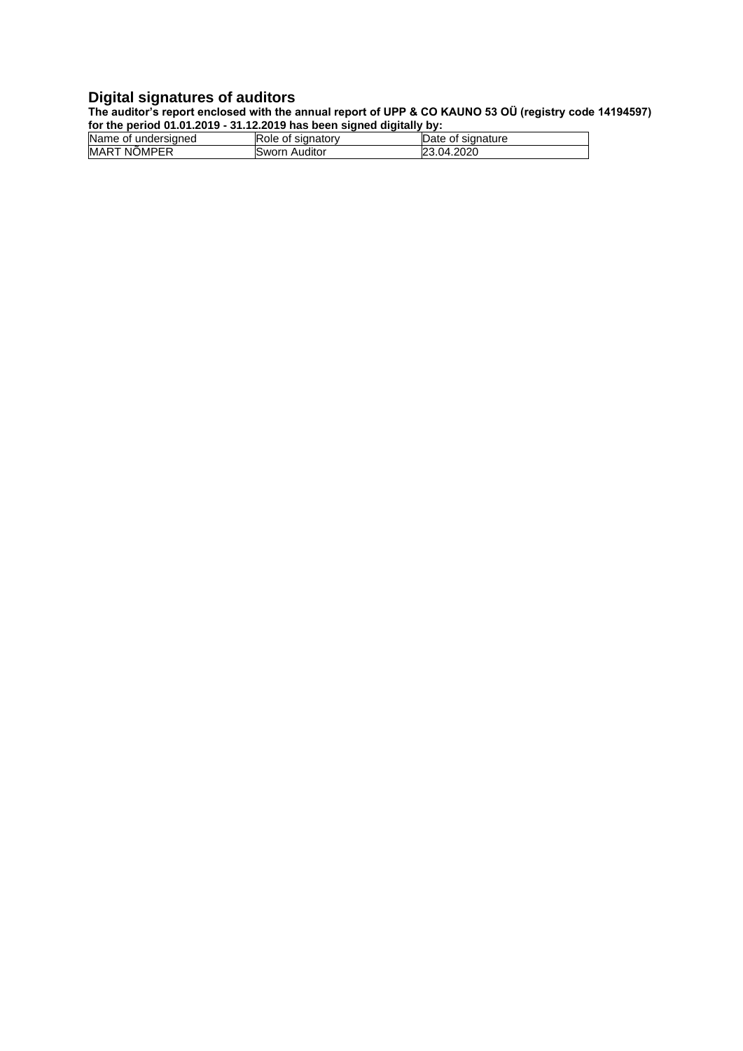### **Digital signatures of auditors**

**The auditor's report enclosed with the annual report of UPP & CO KAUNO 53 OÜ (registry code 14194597) for the period 01.01.2019 - 31.12.2019 has been signed digitally by:**

| Name of undersigned | lRole of signatorv | Date of signature |
|---------------------|--------------------|-------------------|
| <b>MART NOMPER</b>  | Sworn Auditor      | 23.04.2020        |
|                     |                    |                   |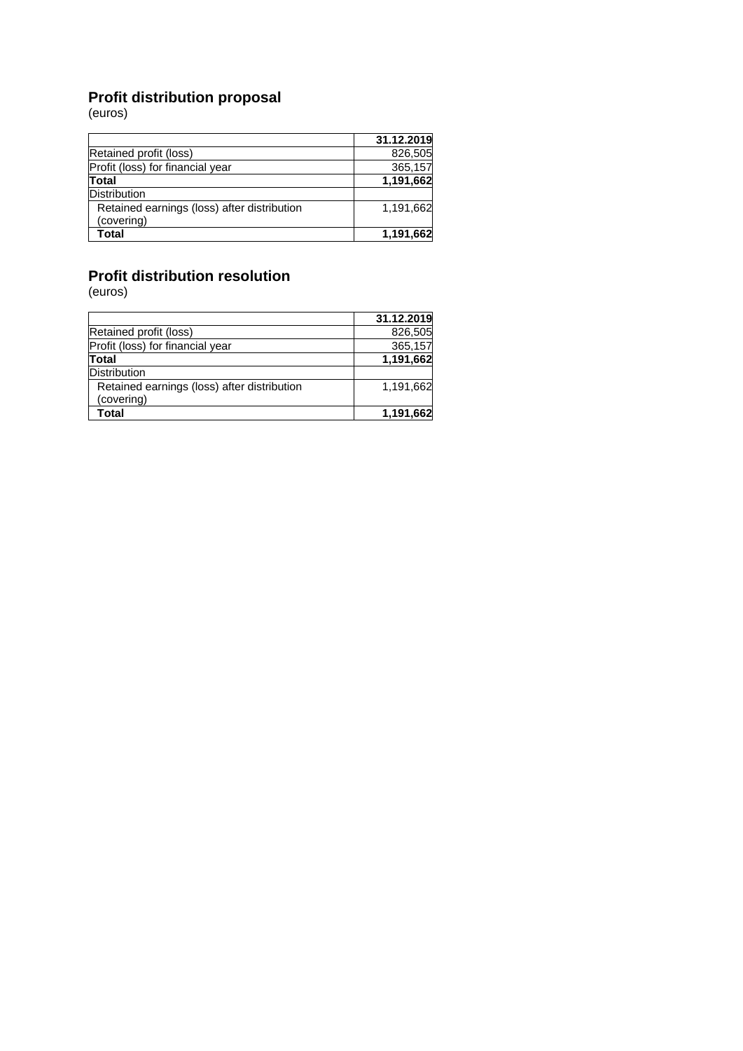# **Profit distribution proposal**

(euros)

|                                             | 31.12.2019 |
|---------------------------------------------|------------|
| Retained profit (loss)                      | 826,505    |
| Profit (loss) for financial year            | 365,157    |
| Total                                       | 1,191,662  |
| <b>Distribution</b>                         |            |
| Retained earnings (loss) after distribution | 1,191,662  |
| (covering)                                  |            |
| Total                                       | 1,191,662  |

# **Profit distribution resolution**

|                                             | 31.12.2019 |
|---------------------------------------------|------------|
| Retained profit (loss)                      | 826,505    |
| Profit (loss) for financial year            | 365,157    |
| Total                                       | 1,191,662  |
| Distribution                                |            |
| Retained earnings (loss) after distribution | 1,191,662  |
| (covering)                                  |            |
| Total                                       | 1,191,662  |